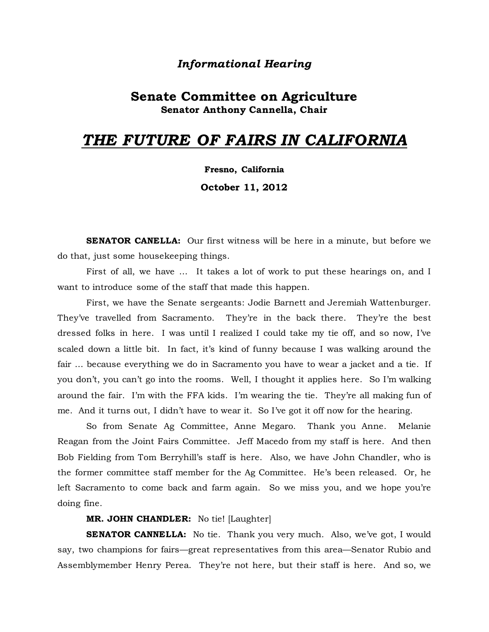# *Informational Hearing*

# **Senate Committee on Agriculture Senator Anthony Cannella, Chair**

# *THE FUTURE OF FAIRS IN CALIFORNIA*

**Fresno, California**

**October 11, 2012**

**SENATOR CANELLA:** Our first witness will be here in a minute, but before we do that, just some housekeeping things.

First of all, we have … It takes a lot of work to put these hearings on, and I want to introduce some of the staff that made this happen.

First, we have the Senate sergeants: Jodie Barnett and Jeremiah Wattenburger. They've travelled from Sacramento. They're in the back there. They're the best dressed folks in here. I was until I realized I could take my tie off, and so now, I've scaled down a little bit. In fact, it's kind of funny because I was walking around the fair … because everything we do in Sacramento you have to wear a jacket and a tie. If you don't, you can't go into the rooms. Well, I thought it applies here. So I'm walking around the fair. I'm with the FFA kids. I'm wearing the tie. They're all making fun of me. And it turns out, I didn't have to wear it. So I've got it off now for the hearing.

So from Senate Ag Committee, Anne Megaro. Thank you Anne. Melanie Reagan from the Joint Fairs Committee. Jeff Macedo from my staff is here. And then Bob Fielding from Tom Berryhill's staff is here. Also, we have John Chandler, who is the former committee staff member for the Ag Committee. He's been released. Or, he left Sacramento to come back and farm again. So we miss you, and we hope you're doing fine.

**MR. JOHN CHANDLER:** No tie! [Laughter]

**SENATOR CANNELLA:** No tie. Thank you very much. Also, we've got, I would say, two champions for fairs—great representatives from this area—Senator Rubio and Assemblymember Henry Perea. They're not here, but their staff is here. And so, we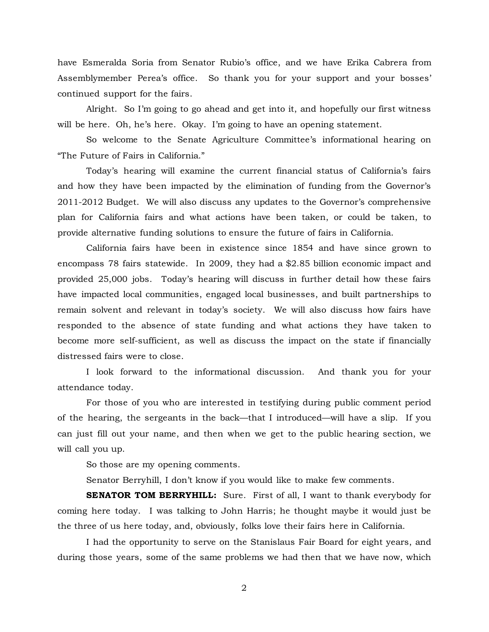have Esmeralda Soria from Senator Rubio's office, and we have Erika Cabrera from Assemblymember Perea's office. So thank you for your support and your bosses' continued support for the fairs.

Alright. So I'm going to go ahead and get into it, and hopefully our first witness will be here. Oh, he's here. Okay. I'm going to have an opening statement.

So welcome to the Senate Agriculture Committee's informational hearing on "The Future of Fairs in California."

Today's hearing will examine the current financial status of California's fairs and how they have been impacted by the elimination of funding from the Governor's 2011-2012 Budget. We will also discuss any updates to the Governor's comprehensive plan for California fairs and what actions have been taken, or could be taken, to provide alternative funding solutions to ensure the future of fairs in California.

California fairs have been in existence since 1854 and have since grown to encompass 78 fairs statewide. In 2009, they had a \$2.85 billion economic impact and provided 25,000 jobs. Today's hearing will discuss in further detail how these fairs have impacted local communities, engaged local businesses, and built partnerships to remain solvent and relevant in today's society. We will also discuss how fairs have responded to the absence of state funding and what actions they have taken to become more self-sufficient, as well as discuss the impact on the state if financially distressed fairs were to close.

I look forward to the informational discussion. And thank you for your attendance today.

For those of you who are interested in testifying during public comment period of the hearing, the sergeants in the back—that I introduced—will have a slip. If you can just fill out your name, and then when we get to the public hearing section, we will call you up.

So those are my opening comments.

Senator Berryhill, I don't know if you would like to make few comments.

**SENATOR TOM BERRYHILL:** Sure. First of all, I want to thank everybody for coming here today. I was talking to John Harris; he thought maybe it would just be the three of us here today, and, obviously, folks love their fairs here in California.

I had the opportunity to serve on the Stanislaus Fair Board for eight years, and during those years, some of the same problems we had then that we have now, which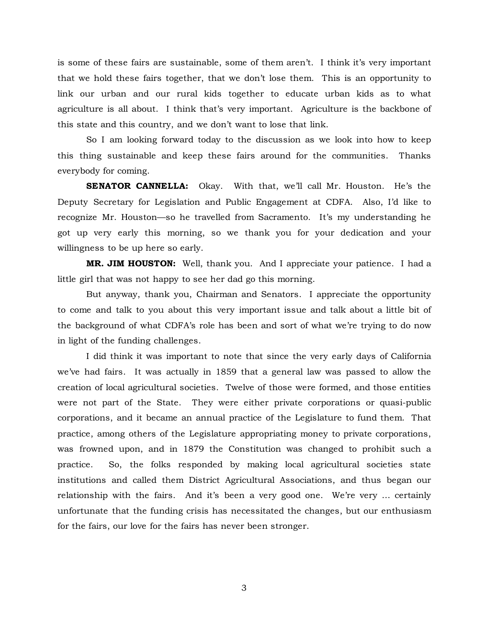is some of these fairs are sustainable, some of them aren't. I think it's very important that we hold these fairs together, that we don't lose them. This is an opportunity to link our urban and our rural kids together to educate urban kids as to what agriculture is all about. I think that's very important. Agriculture is the backbone of this state and this country, and we don't want to lose that link.

So I am looking forward today to the discussion as we look into how to keep this thing sustainable and keep these fairs around for the communities. Thanks everybody for coming.

**SENATOR CANNELLA:** Okay. With that, we'll call Mr. Houston. He's the Deputy Secretary for Legislation and Public Engagement at CDFA. Also, I'd like to recognize Mr. Houston—so he travelled from Sacramento. It's my understanding he got up very early this morning, so we thank you for your dedication and your willingness to be up here so early.

**MR. JIM HOUSTON:** Well, thank you. And I appreciate your patience. I had a little girl that was not happy to see her dad go this morning.

But anyway, thank you, Chairman and Senators. I appreciate the opportunity to come and talk to you about this very important issue and talk about a little bit of the background of what CDFA's role has been and sort of what we're trying to do now in light of the funding challenges.

I did think it was important to note that since the very early days of California we've had fairs. It was actually in 1859 that a general law was passed to allow the creation of local agricultural societies. Twelve of those were formed, and those entities were not part of the State. They were either private corporations or quasi-public corporations, and it became an annual practice of the Legislature to fund them. That practice, among others of the Legislature appropriating money to private corporations, was frowned upon, and in 1879 the Constitution was changed to prohibit such a practice. So, the folks responded by making local agricultural societies state institutions and called them District Agricultural Associations, and thus began our relationship with the fairs. And it's been a very good one. We're very … certainly unfortunate that the funding crisis has necessitated the changes, but our enthusiasm for the fairs, our love for the fairs has never been stronger.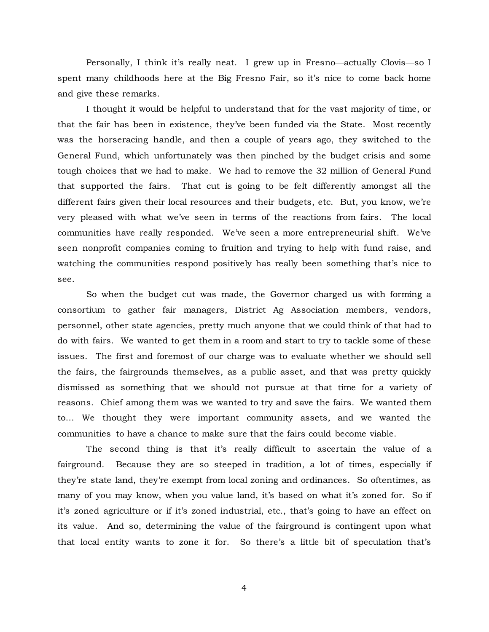Personally, I think it's really neat. I grew up in Fresno—actually Clovis—so I spent many childhoods here at the Big Fresno Fair, so it's nice to come back home and give these remarks.

I thought it would be helpful to understand that for the vast majority of time, or that the fair has been in existence, they've been funded via the State. Most recently was the horseracing handle, and then a couple of years ago, they switched to the General Fund, which unfortunately was then pinched by the budget crisis and some tough choices that we had to make. We had to remove the 32 million of General Fund that supported the fairs. That cut is going to be felt differently amongst all the different fairs given their local resources and their budgets, etc. But, you know, we're very pleased with what we've seen in terms of the reactions from fairs. The local communities have really responded. We've seen a more entrepreneurial shift. We've seen nonprofit companies coming to fruition and trying to help with fund raise, and watching the communities respond positively has really been something that's nice to see.

So when the budget cut was made, the Governor charged us with forming a consortium to gather fair managers, District Ag Association members, vendors, personnel, other state agencies, pretty much anyone that we could think of that had to do with fairs. We wanted to get them in a room and start to try to tackle some of these issues. The first and foremost of our charge was to evaluate whether we should sell the fairs, the fairgrounds themselves, as a public asset, and that was pretty quickly dismissed as something that we should not pursue at that time for a variety of reasons. Chief among them was we wanted to try and save the fairs. We wanted them to… We thought they were important community assets, and we wanted the communities to have a chance to make sure that the fairs could become viable.

The second thing is that it's really difficult to ascertain the value of a fairground. Because they are so steeped in tradition, a lot of times, especially if they're state land, they're exempt from local zoning and ordinances. So oftentimes, as many of you may know, when you value land, it's based on what it's zoned for. So if it's zoned agriculture or if it's zoned industrial, etc., that's going to have an effect on its value. And so, determining the value of the fairground is contingent upon what that local entity wants to zone it for. So there's a little bit of speculation that's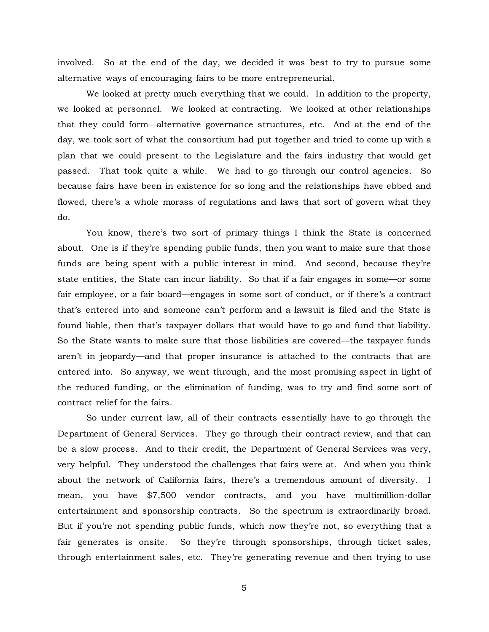involved. So at the end of the day, we decided it was best to try to pursue some alternative ways of encouraging fairs to be more entrepreneurial.

We looked at pretty much everything that we could. In addition to the property, we looked at personnel. We looked at contracting. We looked at other relationships that they could form—alternative governance structures, etc. And at the end of the day, we took sort of what the consortium had put together and tried to come up with a plan that we could present to the Legislature and the fairs industry that would get passed. That took quite a while. We had to go through our control agencies. So because fairs have been in existence for so long and the relationships have ebbed and flowed, there's a whole morass of regulations and laws that sort of govern what they do.

You know, there's two sort of primary things I think the State is concerned about. One is if they're spending public funds, then you want to make sure that those funds are being spent with a public interest in mind. And second, because they're state entities, the State can incur liability. So that if a fair engages in some—or some fair employee, or a fair board—engages in some sort of conduct, or if there's a contract that's entered into and someone can't perform and a lawsuit is filed and the State is found liable, then that's taxpayer dollars that would have to go and fund that liability. So the State wants to make sure that those liabilities are covered—the taxpayer funds aren't in jeopardy—and that proper insurance is attached to the contracts that are entered into. So anyway, we went through, and the most promising aspect in light of the reduced funding, or the elimination of funding, was to try and find some sort of contract relief for the fairs.

So under current law, all of their contracts essentially have to go through the Department of General Services. They go through their contract review, and that can be a slow process. And to their credit, the Department of General Services was very, very helpful. They understood the challenges that fairs were at. And when you think about the network of California fairs, there's a tremendous amount of diversity. I mean, you have \$7,500 vendor contracts, and you have multimillion-dollar entertainment and sponsorship contracts. So the spectrum is extraordinarily broad. But if you're not spending public funds, which now they're not, so everything that a fair generates is onsite. So they're through sponsorships, through ticket sales, through entertainment sales, etc. They're generating revenue and then trying to use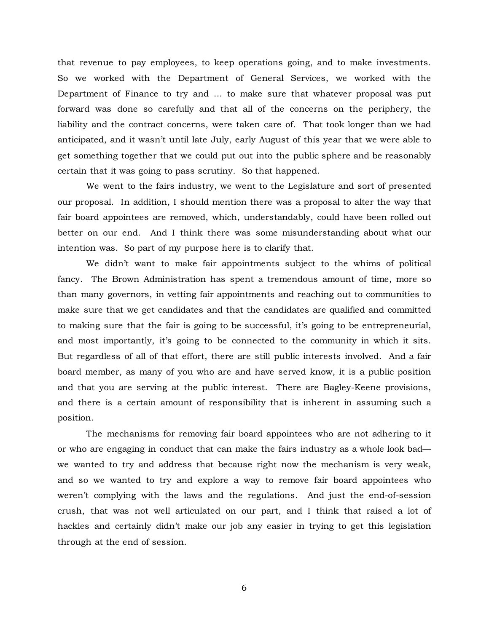that revenue to pay employees, to keep operations going, and to make investments. So we worked with the Department of General Services, we worked with the Department of Finance to try and … to make sure that whatever proposal was put forward was done so carefully and that all of the concerns on the periphery, the liability and the contract concerns, were taken care of. That took longer than we had anticipated, and it wasn't until late July, early August of this year that we were able to get something together that we could put out into the public sphere and be reasonably certain that it was going to pass scrutiny. So that happened.

We went to the fairs industry, we went to the Legislature and sort of presented our proposal. In addition, I should mention there was a proposal to alter the way that fair board appointees are removed, which, understandably, could have been rolled out better on our end. And I think there was some misunderstanding about what our intention was. So part of my purpose here is to clarify that.

We didn't want to make fair appointments subject to the whims of political fancy. The Brown Administration has spent a tremendous amount of time, more so than many governors, in vetting fair appointments and reaching out to communities to make sure that we get candidates and that the candidates are qualified and committed to making sure that the fair is going to be successful, it's going to be entrepreneurial, and most importantly, it's going to be connected to the community in which it sits. But regardless of all of that effort, there are still public interests involved. And a fair board member, as many of you who are and have served know, it is a public position and that you are serving at the public interest. There are Bagley-Keene provisions, and there is a certain amount of responsibility that is inherent in assuming such a position.

The mechanisms for removing fair board appointees who are not adhering to it or who are engaging in conduct that can make the fairs industry as a whole look bad we wanted to try and address that because right now the mechanism is very weak, and so we wanted to try and explore a way to remove fair board appointees who weren't complying with the laws and the regulations. And just the end-of-session crush, that was not well articulated on our part, and I think that raised a lot of hackles and certainly didn't make our job any easier in trying to get this legislation through at the end of session.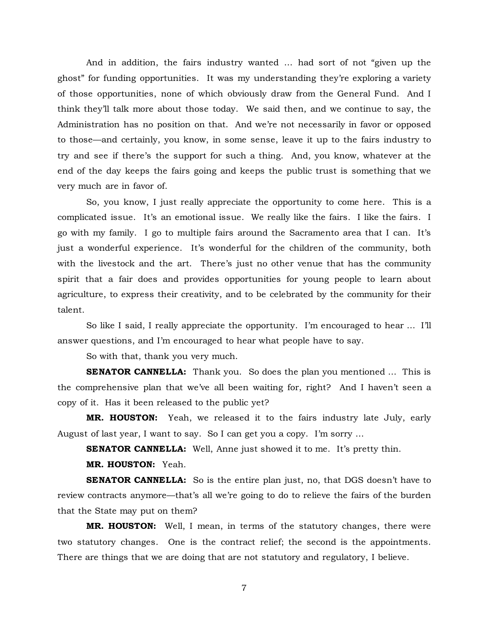And in addition, the fairs industry wanted … had sort of not "given up the ghost" for funding opportunities. It was my understanding they're exploring a variety of those opportunities, none of which obviously draw from the General Fund. And I think they'll talk more about those today. We said then, and we continue to say, the Administration has no position on that. And we're not necessarily in favor or opposed to those—and certainly, you know, in some sense, leave it up to the fairs industry to try and see if there's the support for such a thing. And, you know, whatever at the end of the day keeps the fairs going and keeps the public trust is something that we very much are in favor of.

So, you know, I just really appreciate the opportunity to come here. This is a complicated issue. It's an emotional issue. We really like the fairs. I like the fairs. I go with my family. I go to multiple fairs around the Sacramento area that I can. It's just a wonderful experience. It's wonderful for the children of the community, both with the livestock and the art. There's just no other venue that has the community spirit that a fair does and provides opportunities for young people to learn about agriculture, to express their creativity, and to be celebrated by the community for their talent.

So like I said, I really appreciate the opportunity. I'm encouraged to hear … I'll answer questions, and I'm encouraged to hear what people have to say.

So with that, thank you very much.

**SENATOR CANNELLA:** Thank you. So does the plan you mentioned ... This is the comprehensive plan that we've all been waiting for, right? And I haven't seen a copy of it. Has it been released to the public yet?

**MR. HOUSTON:** Yeah, we released it to the fairs industry late July, early August of last year, I want to say. So I can get you a copy. I'm sorry …

**SENATOR CANNELLA:** Well, Anne just showed it to me. It's pretty thin.

**MR. HOUSTON:** Yeah.

**SENATOR CANNELLA:** So is the entire plan just, no, that DGS doesn't have to review contracts anymore—that's all we're going to do to relieve the fairs of the burden that the State may put on them?

**MR. HOUSTON:** Well, I mean, in terms of the statutory changes, there were two statutory changes. One is the contract relief; the second is the appointments. There are things that we are doing that are not statutory and regulatory, I believe.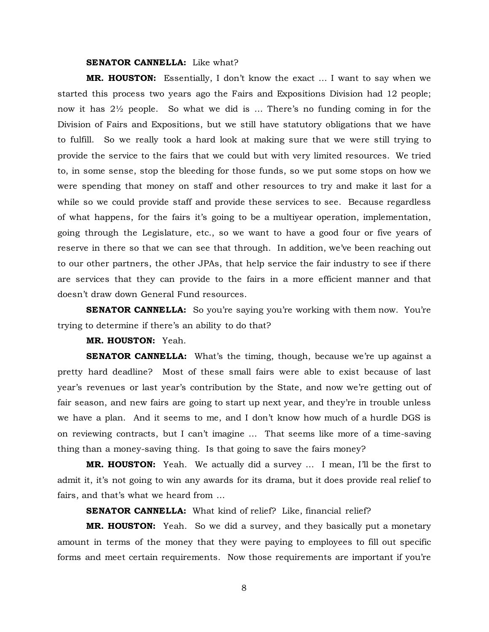#### **SENATOR CANNELLA:** Like what?

**MR. HOUSTON:** Essentially, I don't know the exact … I want to say when we started this process two years ago the Fairs and Expositions Division had 12 people; now it has 2½ people. So what we did is … There's no funding coming in for the Division of Fairs and Expositions, but we still have statutory obligations that we have to fulfill. So we really took a hard look at making sure that we were still trying to provide the service to the fairs that we could but with very limited resources. We tried to, in some sense, stop the bleeding for those funds, so we put some stops on how we were spending that money on staff and other resources to try and make it last for a while so we could provide staff and provide these services to see. Because regardless of what happens, for the fairs it's going to be a multiyear operation, implementation, going through the Legislature, etc., so we want to have a good four or five years of reserve in there so that we can see that through. In addition, we've been reaching out to our other partners, the other JPAs, that help service the fair industry to see if there are services that they can provide to the fairs in a more efficient manner and that doesn't draw down General Fund resources.

**SENATOR CANNELLA:** So you're saying you're working with them now. You're trying to determine if there's an ability to do that?

**MR. HOUSTON:** Yeah.

**SENATOR CANNELLA:** What's the timing, though, because we're up against a pretty hard deadline? Most of these small fairs were able to exist because of last year's revenues or last year's contribution by the State, and now we're getting out of fair season, and new fairs are going to start up next year, and they're in trouble unless we have a plan. And it seems to me, and I don't know how much of a hurdle DGS is on reviewing contracts, but I can't imagine … That seems like more of a time-saving thing than a money-saving thing. Is that going to save the fairs money?

**MR. HOUSTON:** Yeah. We actually did a survey … I mean, I'll be the first to admit it, it's not going to win any awards for its drama, but it does provide real relief to fairs, and that's what we heard from …

**SENATOR CANNELLA:** What kind of relief? Like, financial relief?

**MR. HOUSTON:** Yeah. So we did a survey, and they basically put a monetary amount in terms of the money that they were paying to employees to fill out specific forms and meet certain requirements. Now those requirements are important if you're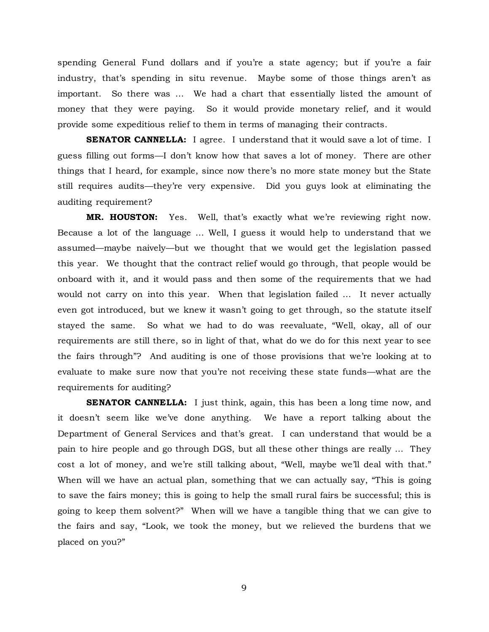spending General Fund dollars and if you're a state agency; but if you're a fair industry, that's spending in situ revenue. Maybe some of those things aren't as important. So there was … We had a chart that essentially listed the amount of money that they were paying. So it would provide monetary relief, and it would provide some expeditious relief to them in terms of managing their contracts.

**SENATOR CANNELLA:** I agree. I understand that it would save a lot of time. I guess filling out forms—I don't know how that saves a lot of money. There are other things that I heard, for example, since now there's no more state money but the State still requires audits—they're very expensive. Did you guys look at eliminating the auditing requirement?

**MR. HOUSTON:** Yes. Well, that's exactly what we're reviewing right now. Because a lot of the language … Well, I guess it would help to understand that we assumed—maybe naively—but we thought that we would get the legislation passed this year. We thought that the contract relief would go through, that people would be onboard with it, and it would pass and then some of the requirements that we had would not carry on into this year. When that legislation failed … It never actually even got introduced, but we knew it wasn't going to get through, so the statute itself stayed the same. So what we had to do was reevaluate, "Well, okay, all of our requirements are still there, so in light of that, what do we do for this next year to see the fairs through"? And auditing is one of those provisions that we're looking at to evaluate to make sure now that you're not receiving these state funds—what are the requirements for auditing?

**SENATOR CANNELLA:** I just think, again, this has been a long time now, and it doesn't seem like we've done anything. We have a report talking about the Department of General Services and that's great. I can understand that would be a pain to hire people and go through DGS, but all these other things are really … They cost a lot of money, and we're still talking about, "Well, maybe we'll deal with that." When will we have an actual plan, something that we can actually say, "This is going to save the fairs money; this is going to help the small rural fairs be successful; this is going to keep them solvent?" When will we have a tangible thing that we can give to the fairs and say, "Look, we took the money, but we relieved the burdens that we placed on you?"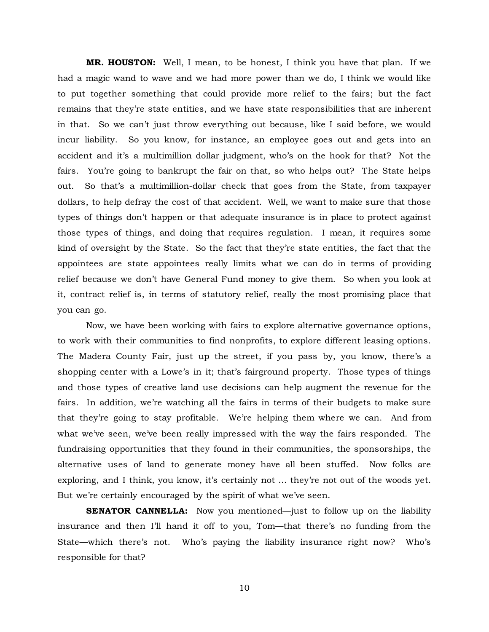**MR. HOUSTON:** Well, I mean, to be honest, I think you have that plan. If we had a magic wand to wave and we had more power than we do, I think we would like to put together something that could provide more relief to the fairs; but the fact remains that they're state entities, and we have state responsibilities that are inherent in that. So we can't just throw everything out because, like I said before, we would incur liability. So you know, for instance, an employee goes out and gets into an accident and it's a multimillion dollar judgment, who's on the hook for that? Not the fairs. You're going to bankrupt the fair on that, so who helps out? The State helps out. So that's a multimillion-dollar check that goes from the State, from taxpayer dollars, to help defray the cost of that accident. Well, we want to make sure that those types of things don't happen or that adequate insurance is in place to protect against those types of things, and doing that requires regulation. I mean, it requires some kind of oversight by the State. So the fact that they're state entities, the fact that the appointees are state appointees really limits what we can do in terms of providing relief because we don't have General Fund money to give them. So when you look at it, contract relief is, in terms of statutory relief, really the most promising place that you can go.

Now, we have been working with fairs to explore alternative governance options, to work with their communities to find nonprofits, to explore different leasing options. The Madera County Fair, just up the street, if you pass by, you know, there's a shopping center with a Lowe's in it; that's fairground property. Those types of things and those types of creative land use decisions can help augment the revenue for the fairs. In addition, we're watching all the fairs in terms of their budgets to make sure that they're going to stay profitable. We're helping them where we can. And from what we've seen, we've been really impressed with the way the fairs responded. The fundraising opportunities that they found in their communities, the sponsorships, the alternative uses of land to generate money have all been stuffed. Now folks are exploring, and I think, you know, it's certainly not … they're not out of the woods yet. But we're certainly encouraged by the spirit of what we've seen.

**SENATOR CANNELLA:** Now you mentioned—just to follow up on the liability insurance and then I'll hand it off to you, Tom—that there's no funding from the State—which there's not. Who's paying the liability insurance right now? Who's responsible for that?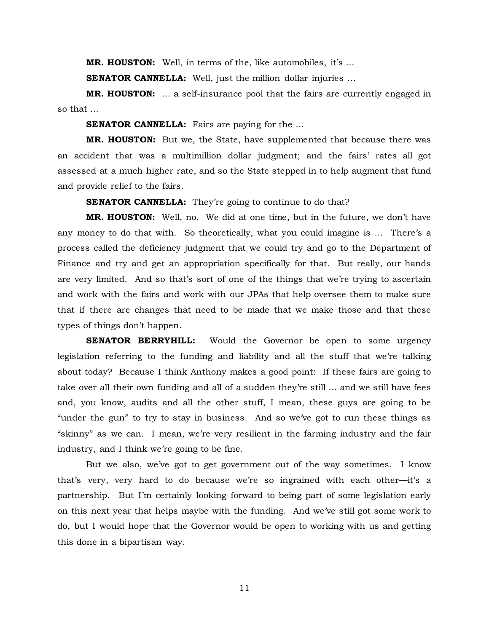**MR. HOUSTON:** Well, in terms of the, like automobiles, it's …

**SENATOR CANNELLA:** Well, just the million dollar injuries ...

**MR. HOUSTON:** … a self-insurance pool that the fairs are currently engaged in so that …

**SENATOR CANNELLA:** Fairs are paying for the ...

**MR. HOUSTON:** But we, the State, have supplemented that because there was an accident that was a multimillion dollar judgment; and the fairs' rates all got assessed at a much higher rate, and so the State stepped in to help augment that fund and provide relief to the fairs.

**SENATOR CANNELLA:** They're going to continue to do that?

**MR. HOUSTON:** Well, no. We did at one time, but in the future, we don't have any money to do that with. So theoretically, what you could imagine is … There's a process called the deficiency judgment that we could try and go to the Department of Finance and try and get an appropriation specifically for that. But really, our hands are very limited. And so that's sort of one of the things that we're trying to ascertain and work with the fairs and work with our JPAs that help oversee them to make sure that if there are changes that need to be made that we make those and that these types of things don't happen.

**SENATOR BERRYHILL:** Would the Governor be open to some urgency legislation referring to the funding and liability and all the stuff that we're talking about today? Because I think Anthony makes a good point: If these fairs are going to take over all their own funding and all of a sudden they're still … and we still have fees and, you know, audits and all the other stuff, I mean, these guys are going to be "under the gun" to try to stay in business. And so we've got to run these things as "skinny" as we can. I mean, we're very resilient in the farming industry and the fair industry, and I think we're going to be fine.

But we also, we've got to get government out of the way sometimes. I know that's very, very hard to do because we're so ingrained with each other—it's a partnership. But I'm certainly looking forward to being part of some legislation early on this next year that helps maybe with the funding. And we've still got some work to do, but I would hope that the Governor would be open to working with us and getting this done in a bipartisan way.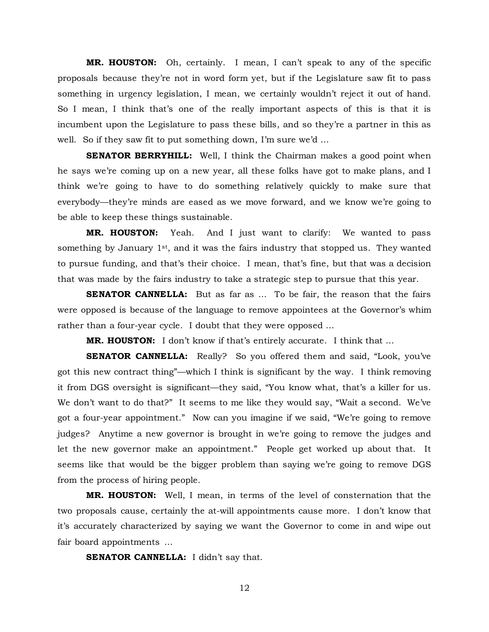**MR. HOUSTON:** Oh, certainly. I mean, I can't speak to any of the specific proposals because they're not in word form yet, but if the Legislature saw fit to pass something in urgency legislation, I mean, we certainly wouldn't reject it out of hand. So I mean, I think that's one of the really important aspects of this is that it is incumbent upon the Legislature to pass these bills, and so they're a partner in this as well. So if they saw fit to put something down, I'm sure we'd …

**SENATOR BERRYHILL:** Well, I think the Chairman makes a good point when he says we're coming up on a new year, all these folks have got to make plans, and I think we're going to have to do something relatively quickly to make sure that everybody—they're minds are eased as we move forward, and we know we're going to be able to keep these things sustainable.

**MR. HOUSTON:** Yeah. And I just want to clarify: We wanted to pass something by January  $1st$ , and it was the fairs industry that stopped us. They wanted to pursue funding, and that's their choice. I mean, that's fine, but that was a decision that was made by the fairs industry to take a strategic step to pursue that this year.

**SENATOR CANNELLA:** But as far as ... To be fair, the reason that the fairs were opposed is because of the language to remove appointees at the Governor's whim rather than a four-year cycle. I doubt that they were opposed …

**MR. HOUSTON:** I don't know if that's entirely accurate. I think that …

**SENATOR CANNELLA:** Really? So you offered them and said, "Look, you've got this new contract thing"—which I think is significant by the way. I think removing it from DGS oversight is significant—they said, "You know what, that's a killer for us. We don't want to do that?" It seems to me like they would say, "Wait a second. We've got a four-year appointment." Now can you imagine if we said, "We're going to remove judges? Anytime a new governor is brought in we're going to remove the judges and let the new governor make an appointment." People get worked up about that. It seems like that would be the bigger problem than saying we're going to remove DGS from the process of hiring people.

**MR. HOUSTON:** Well, I mean, in terms of the level of consternation that the two proposals cause, certainly the at-will appointments cause more. I don't know that it's accurately characterized by saying we want the Governor to come in and wipe out fair board appointments …

**SENATOR CANNELLA:** I didn't say that.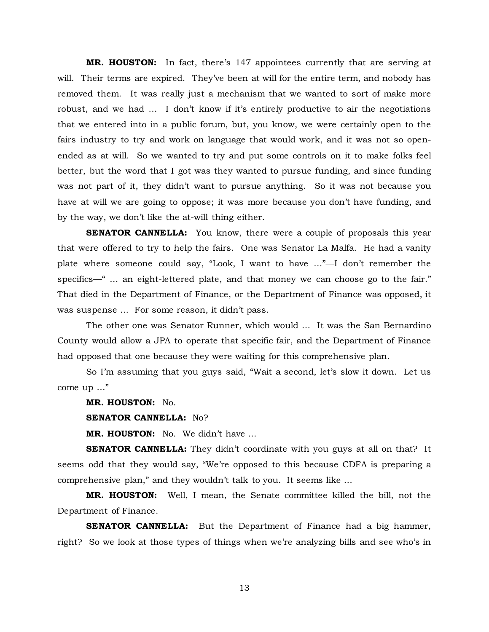**MR. HOUSTON:** In fact, there's 147 appointees currently that are serving at will. Their terms are expired. They've been at will for the entire term, and nobody has removed them. It was really just a mechanism that we wanted to sort of make more robust, and we had … I don't know if it's entirely productive to air the negotiations that we entered into in a public forum, but, you know, we were certainly open to the fairs industry to try and work on language that would work, and it was not so openended as at will. So we wanted to try and put some controls on it to make folks feel better, but the word that I got was they wanted to pursue funding, and since funding was not part of it, they didn't want to pursue anything. So it was not because you have at will we are going to oppose; it was more because you don't have funding, and by the way, we don't like the at-will thing either.

**SENATOR CANNELLA:** You know, there were a couple of proposals this year that were offered to try to help the fairs. One was Senator La Malfa. He had a vanity plate where someone could say, "Look, I want to have …"—I don't remember the specifics—" … an eight-lettered plate, and that money we can choose go to the fair." That died in the Department of Finance, or the Department of Finance was opposed, it was suspense ... For some reason, it didn't pass.

The other one was Senator Runner, which would … It was the San Bernardino County would allow a JPA to operate that specific fair, and the Department of Finance had opposed that one because they were waiting for this comprehensive plan.

So I'm assuming that you guys said, "Wait a second, let's slow it down. Let us come up …"

**MR. HOUSTON:** No.

**SENATOR CANNELLA:** No?

**MR. HOUSTON:** No. We didn't have …

**SENATOR CANNELLA:** They didn't coordinate with you guys at all on that? It seems odd that they would say, "We're opposed to this because CDFA is preparing a comprehensive plan," and they wouldn't talk to you. It seems like …

**MR. HOUSTON:** Well, I mean, the Senate committee killed the bill, not the Department of Finance.

**SENATOR CANNELLA:** But the Department of Finance had a big hammer, right? So we look at those types of things when we're analyzing bills and see who's in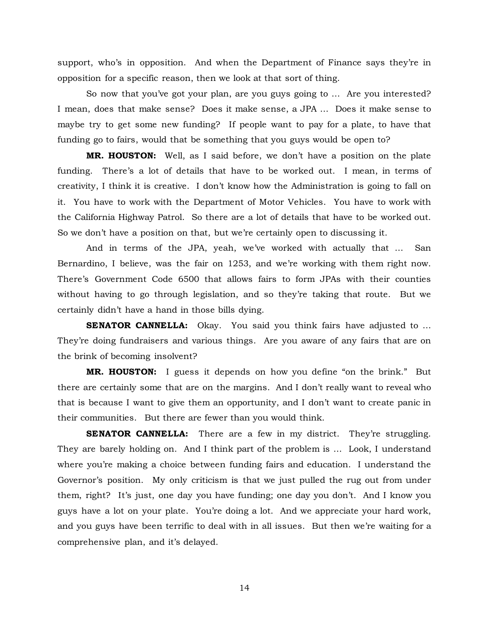support, who's in opposition. And when the Department of Finance says they're in opposition for a specific reason, then we look at that sort of thing.

So now that you've got your plan, are you guys going to … Are you interested? I mean, does that make sense? Does it make sense, a JPA … Does it make sense to maybe try to get some new funding? If people want to pay for a plate, to have that funding go to fairs, would that be something that you guys would be open to?

**MR. HOUSTON:** Well, as I said before, we don't have a position on the plate funding. There's a lot of details that have to be worked out. I mean, in terms of creativity, I think it is creative. I don't know how the Administration is going to fall on it. You have to work with the Department of Motor Vehicles. You have to work with the California Highway Patrol. So there are a lot of details that have to be worked out. So we don't have a position on that, but we're certainly open to discussing it.

And in terms of the JPA, yeah, we've worked with actually that … San Bernardino, I believe, was the fair on 1253, and we're working with them right now. There's Government Code 6500 that allows fairs to form JPAs with their counties without having to go through legislation, and so they're taking that route. But we certainly didn't have a hand in those bills dying.

**SENATOR CANNELLA:** Okay. You said you think fairs have adjusted to ... They're doing fundraisers and various things. Are you aware of any fairs that are on the brink of becoming insolvent?

**MR. HOUSTON:** I guess it depends on how you define "on the brink." But there are certainly some that are on the margins. And I don't really want to reveal who that is because I want to give them an opportunity, and I don't want to create panic in their communities. But there are fewer than you would think.

**SENATOR CANNELLA:** There are a few in my district. They're struggling. They are barely holding on. And I think part of the problem is … Look, I understand where you're making a choice between funding fairs and education. I understand the Governor's position. My only criticism is that we just pulled the rug out from under them, right? It's just, one day you have funding; one day you don't. And I know you guys have a lot on your plate. You're doing a lot. And we appreciate your hard work, and you guys have been terrific to deal with in all issues. But then we're waiting for a comprehensive plan, and it's delayed.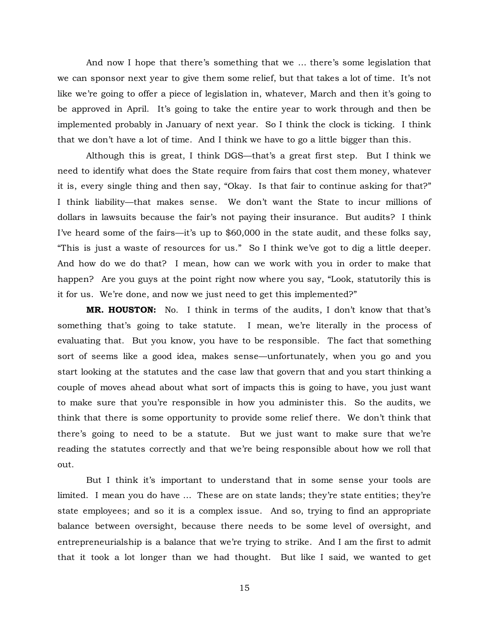And now I hope that there's something that we … there's some legislation that we can sponsor next year to give them some relief, but that takes a lot of time. It's not like we're going to offer a piece of legislation in, whatever, March and then it's going to be approved in April. It's going to take the entire year to work through and then be implemented probably in January of next year. So I think the clock is ticking. I think that we don't have a lot of time. And I think we have to go a little bigger than this.

Although this is great, I think DGS—that's a great first step. But I think we need to identify what does the State require from fairs that cost them money, whatever it is, every single thing and then say, "Okay. Is that fair to continue asking for that?" I think liability—that makes sense. We don't want the State to incur millions of dollars in lawsuits because the fair's not paying their insurance. But audits? I think I've heard some of the fairs—it's up to \$60,000 in the state audit, and these folks say, "This is just a waste of resources for us." So I think we've got to dig a little deeper. And how do we do that? I mean, how can we work with you in order to make that happen? Are you guys at the point right now where you say, "Look, statutorily this is it for us. We're done, and now we just need to get this implemented?"

**MR. HOUSTON:** No. I think in terms of the audits, I don't know that that's something that's going to take statute. I mean, we're literally in the process of evaluating that. But you know, you have to be responsible. The fact that something sort of seems like a good idea, makes sense—unfortunately, when you go and you start looking at the statutes and the case law that govern that and you start thinking a couple of moves ahead about what sort of impacts this is going to have, you just want to make sure that you're responsible in how you administer this. So the audits, we think that there is some opportunity to provide some relief there. We don't think that there's going to need to be a statute. But we just want to make sure that we're reading the statutes correctly and that we're being responsible about how we roll that out.

But I think it's important to understand that in some sense your tools are limited. I mean you do have … These are on state lands; they're state entities; they're state employees; and so it is a complex issue. And so, trying to find an appropriate balance between oversight, because there needs to be some level of oversight, and entrepreneurialship is a balance that we're trying to strike. And I am the first to admit that it took a lot longer than we had thought. But like I said, we wanted to get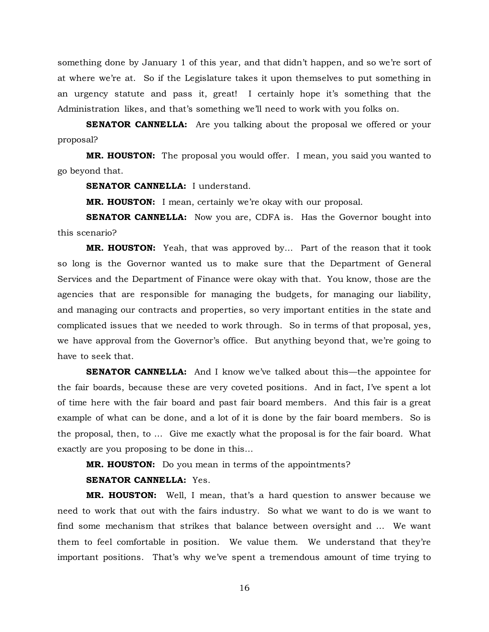something done by January 1 of this year, and that didn't happen, and so we're sort of at where we're at. So if the Legislature takes it upon themselves to put something in an urgency statute and pass it, great! I certainly hope it's something that the Administration likes, and that's something we'll need to work with you folks on.

**SENATOR CANNELLA:** Are you talking about the proposal we offered or your proposal?

**MR. HOUSTON:** The proposal you would offer. I mean, you said you wanted to go beyond that.

**SENATOR CANNELLA:** I understand.

**MR. HOUSTON:** I mean, certainly we're okay with our proposal.

**SENATOR CANNELLA:** Now you are, CDFA is. Has the Governor bought into this scenario?

**MR. HOUSTON:** Yeah, that was approved by… Part of the reason that it took so long is the Governor wanted us to make sure that the Department of General Services and the Department of Finance were okay with that. You know, those are the agencies that are responsible for managing the budgets, for managing our liability, and managing our contracts and properties, so very important entities in the state and complicated issues that we needed to work through. So in terms of that proposal, yes, we have approval from the Governor's office. But anything beyond that, we're going to have to seek that.

**SENATOR CANNELLA:** And I know we've talked about this—the appointee for the fair boards, because these are very coveted positions. And in fact, I've spent a lot of time here with the fair board and past fair board members. And this fair is a great example of what can be done, and a lot of it is done by the fair board members. So is the proposal, then, to … Give me exactly what the proposal is for the fair board. What exactly are you proposing to be done in this…

**MR. HOUSTON:** Do you mean in terms of the appointments?

#### **SENATOR CANNELLA:** Yes.

**MR. HOUSTON:** Well, I mean, that's a hard question to answer because we need to work that out with the fairs industry. So what we want to do is we want to find some mechanism that strikes that balance between oversight and … We want them to feel comfortable in position. We value them. We understand that they're important positions. That's why we've spent a tremendous amount of time trying to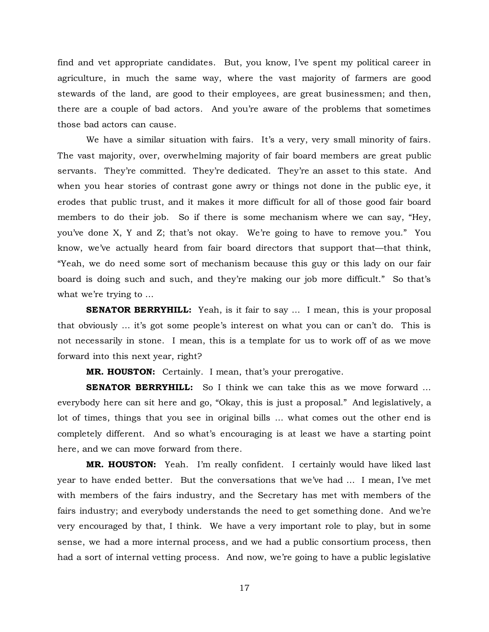find and vet appropriate candidates. But, you know, I've spent my political career in agriculture, in much the same way, where the vast majority of farmers are good stewards of the land, are good to their employees, are great businessmen; and then, there are a couple of bad actors. And you're aware of the problems that sometimes those bad actors can cause.

We have a similar situation with fairs. It's a very, very small minority of fairs. The vast majority, over, overwhelming majority of fair board members are great public servants. They're committed. They're dedicated. They're an asset to this state. And when you hear stories of contrast gone awry or things not done in the public eye, it erodes that public trust, and it makes it more difficult for all of those good fair board members to do their job. So if there is some mechanism where we can say, "Hey, you've done X, Y and Z; that's not okay. We're going to have to remove you." You know, we've actually heard from fair board directors that support that—that think, "Yeah, we do need some sort of mechanism because this guy or this lady on our fair board is doing such and such, and they're making our job more difficult." So that's what we're trying to …

**SENATOR BERRYHILL:** Yeah, is it fair to say ... I mean, this is your proposal that obviously … it's got some people's interest on what you can or can't do. This is not necessarily in stone. I mean, this is a template for us to work off of as we move forward into this next year, right?

**MR. HOUSTON:** Certainly. I mean, that's your prerogative.

**SENATOR BERRYHILL:** So I think we can take this as we move forward ... everybody here can sit here and go, "Okay, this is just a proposal." And legislatively, a lot of times, things that you see in original bills … what comes out the other end is completely different. And so what's encouraging is at least we have a starting point here, and we can move forward from there.

**MR. HOUSTON:** Yeah. I'm really confident. I certainly would have liked last year to have ended better. But the conversations that we've had … I mean, I've met with members of the fairs industry, and the Secretary has met with members of the fairs industry; and everybody understands the need to get something done. And we're very encouraged by that, I think. We have a very important role to play, but in some sense, we had a more internal process, and we had a public consortium process, then had a sort of internal vetting process. And now, we're going to have a public legislative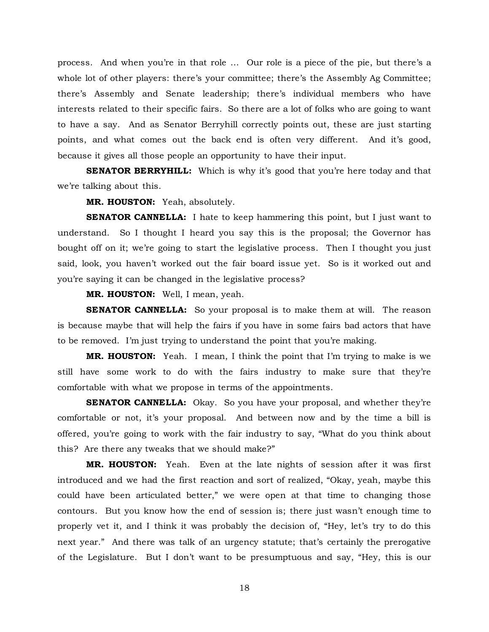process. And when you're in that role … Our role is a piece of the pie, but there's a whole lot of other players: there's your committee; there's the Assembly Ag Committee; there's Assembly and Senate leadership; there's individual members who have interests related to their specific fairs. So there are a lot of folks who are going to want to have a say. And as Senator Berryhill correctly points out, these are just starting points, and what comes out the back end is often very different. And it's good, because it gives all those people an opportunity to have their input.

**SENATOR BERRYHILL:** Which is why it's good that you're here today and that we're talking about this.

**MR. HOUSTON:** Yeah, absolutely.

**SENATOR CANNELLA:** I hate to keep hammering this point, but I just want to understand. So I thought I heard you say this is the proposal; the Governor has bought off on it; we're going to start the legislative process. Then I thought you just said, look, you haven't worked out the fair board issue yet. So is it worked out and you're saying it can be changed in the legislative process?

**MR. HOUSTON:** Well, I mean, yeah.

**SENATOR CANNELLA:** So your proposal is to make them at will. The reason is because maybe that will help the fairs if you have in some fairs bad actors that have to be removed. I'm just trying to understand the point that you're making.

**MR. HOUSTON:** Yeah. I mean, I think the point that I'm trying to make is we still have some work to do with the fairs industry to make sure that they're comfortable with what we propose in terms of the appointments.

**SENATOR CANNELLA:** Okay. So you have your proposal, and whether they're comfortable or not, it's your proposal. And between now and by the time a bill is offered, you're going to work with the fair industry to say, "What do you think about this? Are there any tweaks that we should make?"

**MR. HOUSTON:** Yeah. Even at the late nights of session after it was first introduced and we had the first reaction and sort of realized, "Okay, yeah, maybe this could have been articulated better," we were open at that time to changing those contours. But you know how the end of session is; there just wasn't enough time to properly vet it, and I think it was probably the decision of, "Hey, let's try to do this next year." And there was talk of an urgency statute; that's certainly the prerogative of the Legislature. But I don't want to be presumptuous and say, "Hey, this is our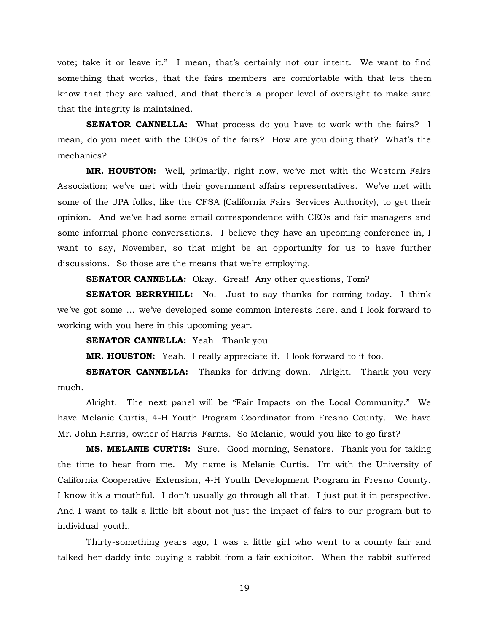vote; take it or leave it." I mean, that's certainly not our intent. We want to find something that works, that the fairs members are comfortable with that lets them know that they are valued, and that there's a proper level of oversight to make sure that the integrity is maintained.

**SENATOR CANNELLA:** What process do you have to work with the fairs? I mean, do you meet with the CEOs of the fairs? How are you doing that? What's the mechanics?

**MR. HOUSTON:** Well, primarily, right now, we've met with the Western Fairs Association; we've met with their government affairs representatives. We've met with some of the JPA folks, like the CFSA (California Fairs Services Authority), to get their opinion. And we've had some email correspondence with CEOs and fair managers and some informal phone conversations. I believe they have an upcoming conference in, I want to say, November, so that might be an opportunity for us to have further discussions. So those are the means that we're employing.

**SENATOR CANNELLA:** Okay. Great! Any other questions, Tom?

**SENATOR BERRYHILL:** No. Just to say thanks for coming today. I think we've got some … we've developed some common interests here, and I look forward to working with you here in this upcoming year.

**SENATOR CANNELLA:** Yeah. Thank you.

**MR. HOUSTON:** Yeah. I really appreciate it. I look forward to it too.

**SENATOR CANNELLA:** Thanks for driving down. Alright. Thank you very much.

Alright. The next panel will be "Fair Impacts on the Local Community." We have Melanie Curtis, 4-H Youth Program Coordinator from Fresno County. We have Mr. John Harris, owner of Harris Farms. So Melanie, would you like to go first?

**MS. MELANIE CURTIS:** Sure. Good morning, Senators. Thank you for taking the time to hear from me. My name is Melanie Curtis. I'm with the University of California Cooperative Extension, 4-H Youth Development Program in Fresno County. I know it's a mouthful. I don't usually go through all that. I just put it in perspective. And I want to talk a little bit about not just the impact of fairs to our program but to individual youth.

Thirty-something years ago, I was a little girl who went to a county fair and talked her daddy into buying a rabbit from a fair exhibitor. When the rabbit suffered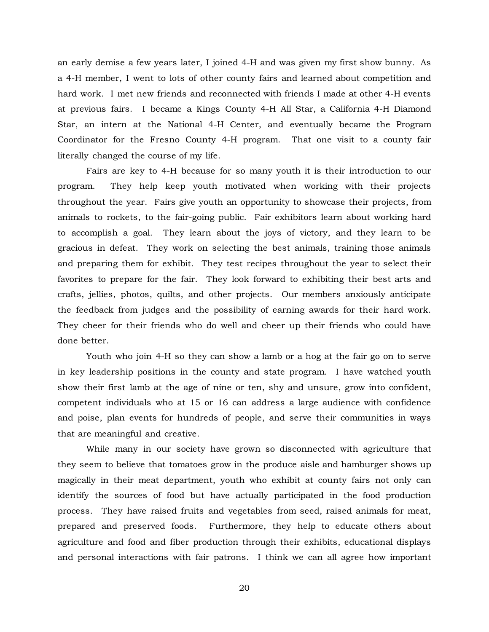an early demise a few years later, I joined 4-H and was given my first show bunny. As a 4-H member, I went to lots of other county fairs and learned about competition and hard work. I met new friends and reconnected with friends I made at other 4-H events at previous fairs. I became a Kings County 4-H All Star, a California 4-H Diamond Star, an intern at the National 4-H Center, and eventually became the Program Coordinator for the Fresno County 4-H program. That one visit to a county fair literally changed the course of my life.

Fairs are key to 4-H because for so many youth it is their introduction to our program. They help keep youth motivated when working with their projects throughout the year. Fairs give youth an opportunity to showcase their projects, from animals to rockets, to the fair-going public. Fair exhibitors learn about working hard to accomplish a goal. They learn about the joys of victory, and they learn to be gracious in defeat. They work on selecting the best animals, training those animals and preparing them for exhibit. They test recipes throughout the year to select their favorites to prepare for the fair. They look forward to exhibiting their best arts and crafts, jellies, photos, quilts, and other projects. Our members anxiously anticipate the feedback from judges and the possibility of earning awards for their hard work. They cheer for their friends who do well and cheer up their friends who could have done better.

Youth who join 4-H so they can show a lamb or a hog at the fair go on to serve in key leadership positions in the county and state program. I have watched youth show their first lamb at the age of nine or ten, shy and unsure, grow into confident, competent individuals who at 15 or 16 can address a large audience with confidence and poise, plan events for hundreds of people, and serve their communities in ways that are meaningful and creative.

While many in our society have grown so disconnected with agriculture that they seem to believe that tomatoes grow in the produce aisle and hamburger shows up magically in their meat department, youth who exhibit at county fairs not only can identify the sources of food but have actually participated in the food production process. They have raised fruits and vegetables from seed, raised animals for meat, prepared and preserved foods. Furthermore, they help to educate others about agriculture and food and fiber production through their exhibits, educational displays and personal interactions with fair patrons. I think we can all agree how important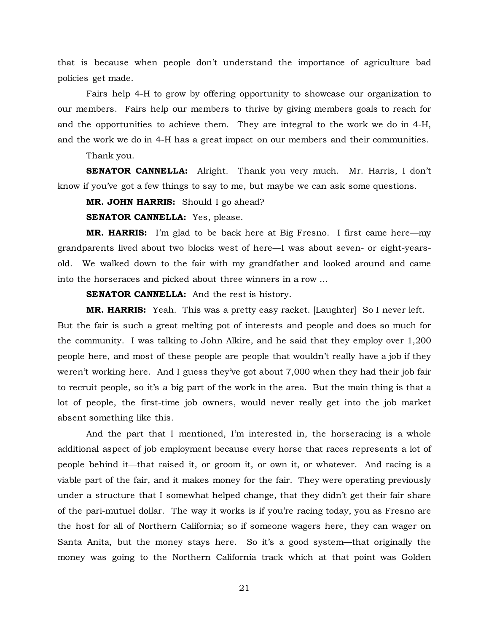that is because when people don't understand the importance of agriculture bad policies get made.

Fairs help 4-H to grow by offering opportunity to showcase our organization to our members. Fairs help our members to thrive by giving members goals to reach for and the opportunities to achieve them. They are integral to the work we do in 4-H, and the work we do in 4-H has a great impact on our members and their communities.

Thank you.

**SENATOR CANNELLA:** Alright. Thank you very much. Mr. Harris, I don't know if you've got a few things to say to me, but maybe we can ask some questions.

**MR. JOHN HARRIS:** Should I go ahead?

**SENATOR CANNELLA:** Yes, please.

**MR. HARRIS:** I'm glad to be back here at Big Fresno. I first came here—my grandparents lived about two blocks west of here—I was about seven- or eight-yearsold. We walked down to the fair with my grandfather and looked around and came into the horseraces and picked about three winners in a row …

**SENATOR CANNELLA:** And the rest is history.

**MR. HARRIS:** Yeah. This was a pretty easy racket. [Laughter] So I never left.

But the fair is such a great melting pot of interests and people and does so much for the community. I was talking to John Alkire, and he said that they employ over 1,200 people here, and most of these people are people that wouldn't really have a job if they weren't working here. And I guess they've got about 7,000 when they had their job fair to recruit people, so it's a big part of the work in the area. But the main thing is that a lot of people, the first-time job owners, would never really get into the job market absent something like this.

And the part that I mentioned, I'm interested in, the horseracing is a whole additional aspect of job employment because every horse that races represents a lot of people behind it—that raised it, or groom it, or own it, or whatever. And racing is a viable part of the fair, and it makes money for the fair. They were operating previously under a structure that I somewhat helped change, that they didn't get their fair share of the pari-mutuel dollar. The way it works is if you're racing today, you as Fresno are the host for all of Northern California; so if someone wagers here, they can wager on Santa Anita, but the money stays here. So it's a good system—that originally the money was going to the Northern California track which at that point was Golden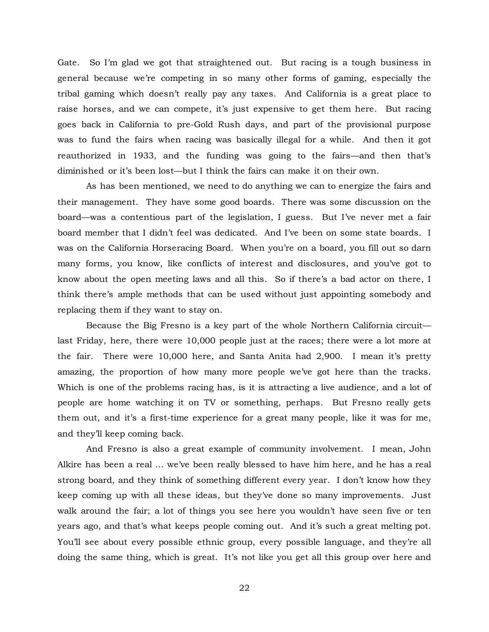Gate. So I'm glad we got that straightened out. But racing is a tough business in general because we're competing in so many other forms of gaming, especially the tribal gaming which doesn't really pay any taxes. And California is a great place to raise horses, and we can compete, it's just expensive to get them here. But racing goes back in California to pre-Gold Rush days, and part of the provisional purpose was to fund the fairs when racing was basically illegal for a while. And then it got reauthorized in 1933, and the funding was going to the fairs—and then that's diminished or it's been lost—but I think the fairs can make it on their own.

As has been mentioned, we need to do anything we can to energize the fairs and their management. They have some good boards. There was some discussion on the board—was a contentious part of the legislation, I guess. But I've never met a fair board member that I didn't feel was dedicated. And I've been on some state boards. I was on the California Horseracing Board. When you're on a board, you fill out so darn many forms, you know, like conflicts of interest and disclosures, and you've got to know about the open meeting laws and all this. So if there's a bad actor on there, I think there's ample methods that can be used without just appointing somebody and replacing them if they want to stay on.

Because the Big Fresno is a key part of the whole Northern California circuit last Friday, here, there were 10,000 people just at the races; there were a lot more at the fair. There were 10,000 here, and Santa Anita had 2,900. I mean it's pretty amazing, the proportion of how many more people we've got here than the tracks. Which is one of the problems racing has, is it is attracting a live audience, and a lot of people are home watching it on TV or something, perhaps. But Fresno really gets them out, and it's a first-time experience for a great many people, like it was for me, and they'll keep coming back.

And Fresno is also a great example of community involvement. I mean, John Alkire has been a real … we've been really blessed to have him here, and he has a real strong board, and they think of something different every year. I don't know how they keep coming up with all these ideas, but they've done so many improvements. Just walk around the fair; a lot of things you see here you wouldn't have seen five or ten years ago, and that's what keeps people coming out. And it's such a great melting pot. You'll see about every possible ethnic group, every possible language, and they're all doing the same thing, which is great. It's not like you get all this group over here and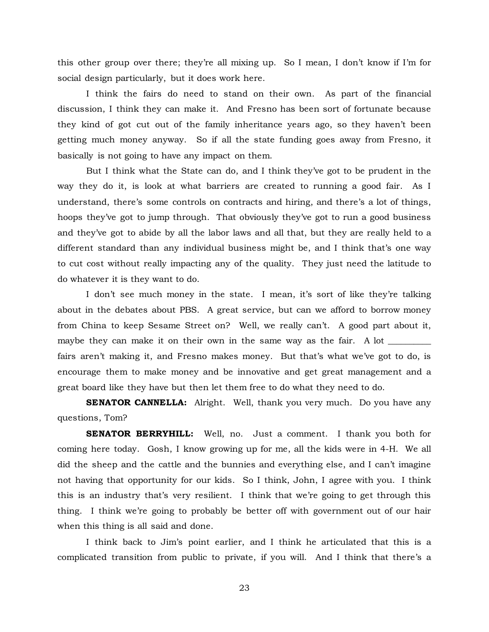this other group over there; they're all mixing up. So I mean, I don't know if I'm for social design particularly, but it does work here.

I think the fairs do need to stand on their own. As part of the financial discussion, I think they can make it. And Fresno has been sort of fortunate because they kind of got cut out of the family inheritance years ago, so they haven't been getting much money anyway. So if all the state funding goes away from Fresno, it basically is not going to have any impact on them.

But I think what the State can do, and I think they've got to be prudent in the way they do it, is look at what barriers are created to running a good fair. As I understand, there's some controls on contracts and hiring, and there's a lot of things, hoops they've got to jump through. That obviously they've got to run a good business and they've got to abide by all the labor laws and all that, but they are really held to a different standard than any individual business might be, and I think that's one way to cut cost without really impacting any of the quality. They just need the latitude to do whatever it is they want to do.

I don't see much money in the state. I mean, it's sort of like they're talking about in the debates about PBS. A great service, but can we afford to borrow money from China to keep Sesame Street on? Well, we really can't. A good part about it, maybe they can make it on their own in the same way as the fair. A lot fairs aren't making it, and Fresno makes money. But that's what we've got to do, is encourage them to make money and be innovative and get great management and a great board like they have but then let them free to do what they need to do.

**SENATOR CANNELLA:** Alright. Well, thank you very much. Do you have any questions, Tom?

**SENATOR BERRYHILL:** Well, no. Just a comment. I thank you both for coming here today. Gosh, I know growing up for me, all the kids were in 4-H. We all did the sheep and the cattle and the bunnies and everything else, and I can't imagine not having that opportunity for our kids. So I think, John, I agree with you. I think this is an industry that's very resilient. I think that we're going to get through this thing. I think we're going to probably be better off with government out of our hair when this thing is all said and done.

I think back to Jim's point earlier, and I think he articulated that this is a complicated transition from public to private, if you will. And I think that there's a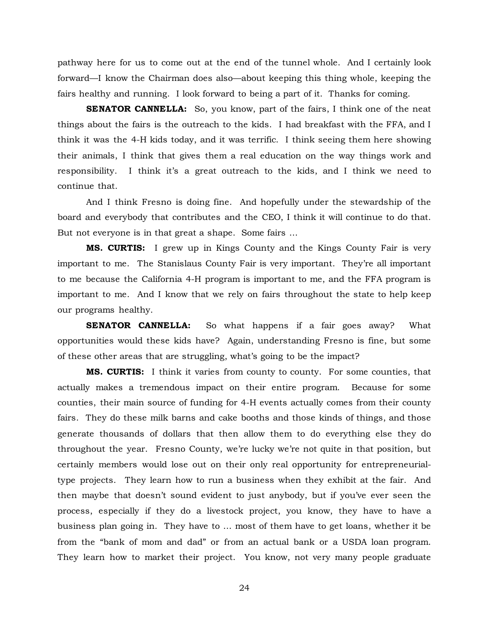pathway here for us to come out at the end of the tunnel whole. And I certainly look forward—I know the Chairman does also—about keeping this thing whole, keeping the fairs healthy and running. I look forward to being a part of it. Thanks for coming.

**SENATOR CANNELLA:** So, you know, part of the fairs, I think one of the neat things about the fairs is the outreach to the kids. I had breakfast with the FFA, and I think it was the 4-H kids today, and it was terrific. I think seeing them here showing their animals, I think that gives them a real education on the way things work and responsibility. I think it's a great outreach to the kids, and I think we need to continue that.

And I think Fresno is doing fine. And hopefully under the stewardship of the board and everybody that contributes and the CEO, I think it will continue to do that. But not everyone is in that great a shape. Some fairs …

**MS. CURTIS:** I grew up in Kings County and the Kings County Fair is very important to me. The Stanislaus County Fair is very important. They're all important to me because the California 4-H program is important to me, and the FFA program is important to me. And I know that we rely on fairs throughout the state to help keep our programs healthy.

**SENATOR CANNELLA:** So what happens if a fair goes away? What opportunities would these kids have? Again, understanding Fresno is fine, but some of these other areas that are struggling, what's going to be the impact?

**MS. CURTIS:** I think it varies from county to county. For some counties, that actually makes a tremendous impact on their entire program. Because for some counties, their main source of funding for 4-H events actually comes from their county fairs. They do these milk barns and cake booths and those kinds of things, and those generate thousands of dollars that then allow them to do everything else they do throughout the year. Fresno County, we're lucky we're not quite in that position, but certainly members would lose out on their only real opportunity for entrepreneurialtype projects. They learn how to run a business when they exhibit at the fair. And then maybe that doesn't sound evident to just anybody, but if you've ever seen the process, especially if they do a livestock project, you know, they have to have a business plan going in. They have to … most of them have to get loans, whether it be from the "bank of mom and dad" or from an actual bank or a USDA loan program. They learn how to market their project. You know, not very many people graduate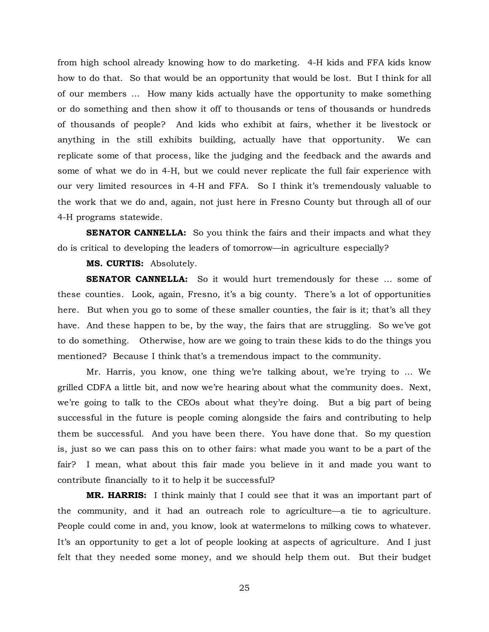from high school already knowing how to do marketing. 4-H kids and FFA kids know how to do that. So that would be an opportunity that would be lost. But I think for all of our members … How many kids actually have the opportunity to make something or do something and then show it off to thousands or tens of thousands or hundreds of thousands of people? And kids who exhibit at fairs, whether it be livestock or anything in the still exhibits building, actually have that opportunity. We can replicate some of that process, like the judging and the feedback and the awards and some of what we do in 4-H, but we could never replicate the full fair experience with our very limited resources in 4-H and FFA. So I think it's tremendously valuable to the work that we do and, again, not just here in Fresno County but through all of our 4-H programs statewide.

**SENATOR CANNELLA:** So you think the fairs and their impacts and what they do is critical to developing the leaders of tomorrow—in agriculture especially?

**MS. CURTIS:** Absolutely.

**SENATOR CANNELLA:** So it would hurt tremendously for these ... some of these counties. Look, again, Fresno, it's a big county. There's a lot of opportunities here. But when you go to some of these smaller counties, the fair is it; that's all they have. And these happen to be, by the way, the fairs that are struggling. So we've got to do something. Otherwise, how are we going to train these kids to do the things you mentioned? Because I think that's a tremendous impact to the community.

Mr. Harris, you know, one thing we're talking about, we're trying to … We grilled CDFA a little bit, and now we're hearing about what the community does. Next, we're going to talk to the CEOs about what they're doing. But a big part of being successful in the future is people coming alongside the fairs and contributing to help them be successful. And you have been there. You have done that. So my question is, just so we can pass this on to other fairs: what made you want to be a part of the fair? I mean, what about this fair made you believe in it and made you want to contribute financially to it to help it be successful?

**MR. HARRIS:** I think mainly that I could see that it was an important part of the community, and it had an outreach role to agriculture—a tie to agriculture. People could come in and, you know, look at watermelons to milking cows to whatever. It's an opportunity to get a lot of people looking at aspects of agriculture. And I just felt that they needed some money, and we should help them out. But their budget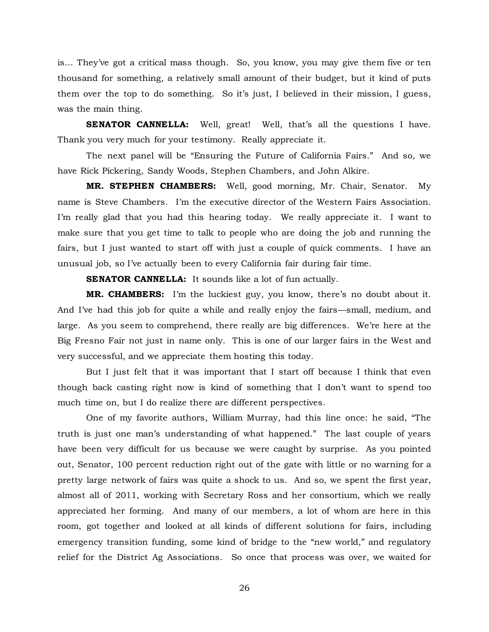is… They've got a critical mass though. So, you know, you may give them five or ten thousand for something, a relatively small amount of their budget, but it kind of puts them over the top to do something. So it's just, I believed in their mission, I guess, was the main thing.

**SENATOR CANNELLA:** Well, great! Well, that's all the questions I have. Thank you very much for your testimony. Really appreciate it.

The next panel will be "Ensuring the Future of California Fairs." And so, we have Rick Pickering, Sandy Woods, Stephen Chambers, and John Alkire.

**MR. STEPHEN CHAMBERS:** Well, good morning, Mr. Chair, Senator. My name is Steve Chambers. I'm the executive director of the Western Fairs Association. I'm really glad that you had this hearing today. We really appreciate it. I want to make sure that you get time to talk to people who are doing the job and running the fairs, but I just wanted to start off with just a couple of quick comments. I have an unusual job, so I've actually been to every California fair during fair time.

**SENATOR CANNELLA:** It sounds like a lot of fun actually.

**MR. CHAMBERS:** I'm the luckiest guy, you know, there's no doubt about it. And I've had this job for quite a while and really enjoy the fairs—small, medium, and large. As you seem to comprehend, there really are big differences. We're here at the Big Fresno Fair not just in name only. This is one of our larger fairs in the West and very successful, and we appreciate them hosting this today.

But I just felt that it was important that I start off because I think that even though back casting right now is kind of something that I don't want to spend too much time on, but I do realize there are different perspectives.

One of my favorite authors, William Murray, had this line once: he said, "The truth is just one man's understanding of what happened." The last couple of years have been very difficult for us because we were caught by surprise. As you pointed out, Senator, 100 percent reduction right out of the gate with little or no warning for a pretty large network of fairs was quite a shock to us. And so, we spent the first year, almost all of 2011, working with Secretary Ross and her consortium, which we really appreciated her forming. And many of our members, a lot of whom are here in this room, got together and looked at all kinds of different solutions for fairs, including emergency transition funding, some kind of bridge to the "new world," and regulatory relief for the District Ag Associations. So once that process was over, we waited for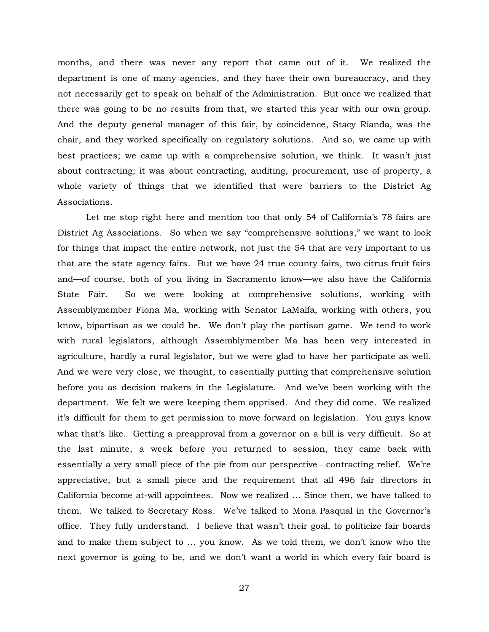months, and there was never any report that came out of it. We realized the department is one of many agencies, and they have their own bureaucracy, and they not necessarily get to speak on behalf of the Administration. But once we realized that there was going to be no results from that, we started this year with our own group. And the deputy general manager of this fair, by coincidence, Stacy Rianda, was the chair, and they worked specifically on regulatory solutions. And so, we came up with best practices; we came up with a comprehensive solution, we think. It wasn't just about contracting; it was about contracting, auditing, procurement, use of property, a whole variety of things that we identified that were barriers to the District Ag Associations.

Let me stop right here and mention too that only 54 of California's 78 fairs are District Ag Associations. So when we say "comprehensive solutions," we want to look for things that impact the entire network, not just the 54 that are very important to us that are the state agency fairs. But we have 24 true county fairs, two citrus fruit fairs and—of course, both of you living in Sacramento know—we also have the California State Fair. So we were looking at comprehensive solutions, working with Assemblymember Fiona Ma, working with Senator LaMalfa, working with others, you know, bipartisan as we could be. We don't play the partisan game. We tend to work with rural legislators, although Assemblymember Ma has been very interested in agriculture, hardly a rural legislator, but we were glad to have her participate as well. And we were very close, we thought, to essentially putting that comprehensive solution before you as decision makers in the Legislature. And we've been working with the department. We felt we were keeping them apprised. And they did come. We realized it's difficult for them to get permission to move forward on legislation. You guys know what that's like. Getting a preapproval from a governor on a bill is very difficult. So at the last minute, a week before you returned to session, they came back with essentially a very small piece of the pie from our perspective—contracting relief. We're appreciative, but a small piece and the requirement that all 496 fair directors in California become at-will appointees. Now we realized … Since then, we have talked to them. We talked to Secretary Ross. We've talked to Mona Pasqual in the Governor's office. They fully understand. I believe that wasn't their goal, to politicize fair boards and to make them subject to … you know. As we told them, we don't know who the next governor is going to be, and we don't want a world in which every fair board is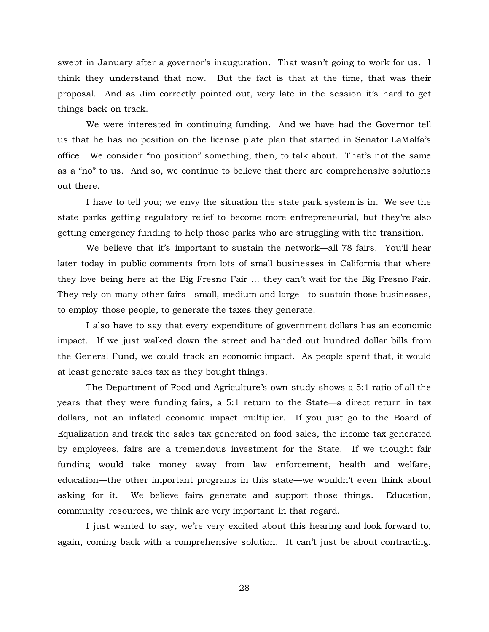swept in January after a governor's inauguration. That wasn't going to work for us. I think they understand that now. But the fact is that at the time, that was their proposal. And as Jim correctly pointed out, very late in the session it's hard to get things back on track.

We were interested in continuing funding. And we have had the Governor tell us that he has no position on the license plate plan that started in Senator LaMalfa's office. We consider "no position" something, then, to talk about. That's not the same as a "no" to us. And so, we continue to believe that there are comprehensive solutions out there.

I have to tell you; we envy the situation the state park system is in. We see the state parks getting regulatory relief to become more entrepreneurial, but they're also getting emergency funding to help those parks who are struggling with the transition.

We believe that it's important to sustain the network—all 78 fairs. You'll hear later today in public comments from lots of small businesses in California that where they love being here at the Big Fresno Fair … they can't wait for the Big Fresno Fair. They rely on many other fairs—small, medium and large—to sustain those businesses, to employ those people, to generate the taxes they generate.

I also have to say that every expenditure of government dollars has an economic impact. If we just walked down the street and handed out hundred dollar bills from the General Fund, we could track an economic impact. As people spent that, it would at least generate sales tax as they bought things.

The Department of Food and Agriculture's own study shows a 5:1 ratio of all the years that they were funding fairs, a 5:1 return to the State—a direct return in tax dollars, not an inflated economic impact multiplier. If you just go to the Board of Equalization and track the sales tax generated on food sales, the income tax generated by employees, fairs are a tremendous investment for the State. If we thought fair funding would take money away from law enforcement, health and welfare, education—the other important programs in this state—we wouldn't even think about asking for it. We believe fairs generate and support those things. Education, community resources, we think are very important in that regard.

I just wanted to say, we're very excited about this hearing and look forward to, again, coming back with a comprehensive solution. It can't just be about contracting.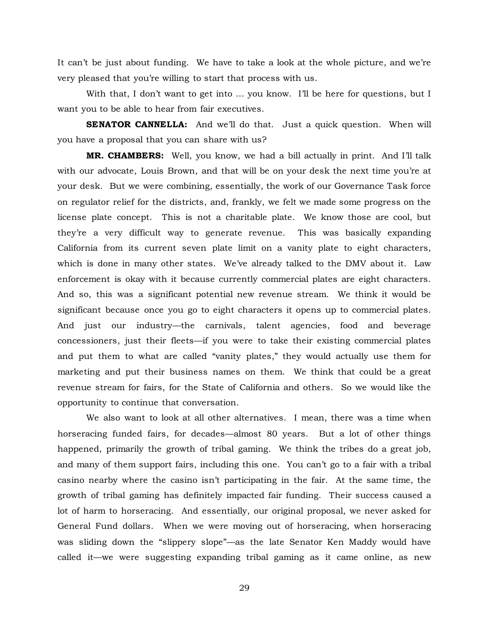It can't be just about funding. We have to take a look at the whole picture, and we're very pleased that you're willing to start that process with us.

With that, I don't want to get into ... you know. I'll be here for questions, but I want you to be able to hear from fair executives.

**SENATOR CANNELLA:** And we'll do that. Just a quick question. When will you have a proposal that you can share with us?

**MR. CHAMBERS:** Well, you know, we had a bill actually in print. And I'll talk with our advocate, Louis Brown, and that will be on your desk the next time you're at your desk. But we were combining, essentially, the work of our Governance Task force on regulator relief for the districts, and, frankly, we felt we made some progress on the license plate concept. This is not a charitable plate. We know those are cool, but they're a very difficult way to generate revenue. This was basically expanding California from its current seven plate limit on a vanity plate to eight characters, which is done in many other states. We've already talked to the DMV about it. Law enforcement is okay with it because currently commercial plates are eight characters. And so, this was a significant potential new revenue stream. We think it would be significant because once you go to eight characters it opens up to commercial plates. And just our industry—the carnivals, talent agencies, food and beverage concessioners, just their fleets—if you were to take their existing commercial plates and put them to what are called "vanity plates," they would actually use them for marketing and put their business names on them. We think that could be a great revenue stream for fairs, for the State of California and others. So we would like the opportunity to continue that conversation.

We also want to look at all other alternatives. I mean, there was a time when horseracing funded fairs, for decades—almost 80 years. But a lot of other things happened, primarily the growth of tribal gaming. We think the tribes do a great job, and many of them support fairs, including this one. You can't go to a fair with a tribal casino nearby where the casino isn't participating in the fair. At the same time, the growth of tribal gaming has definitely impacted fair funding. Their success caused a lot of harm to horseracing. And essentially, our original proposal, we never asked for General Fund dollars. When we were moving out of horseracing, when horseracing was sliding down the "slippery slope"—as the late Senator Ken Maddy would have called it—we were suggesting expanding tribal gaming as it came online, as new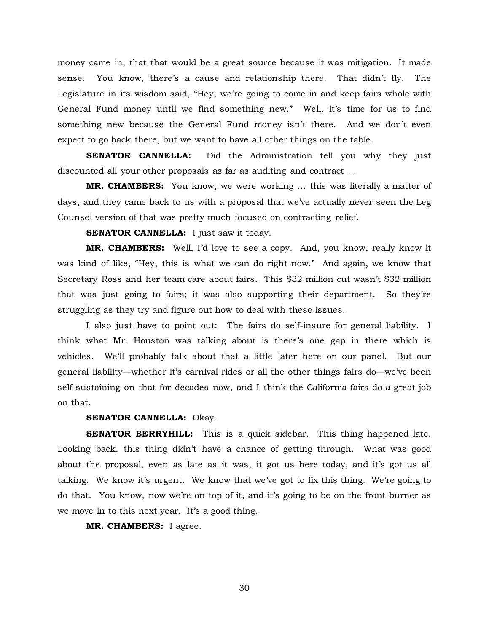money came in, that that would be a great source because it was mitigation. It made sense. You know, there's a cause and relationship there. That didn't fly. The Legislature in its wisdom said, "Hey, we're going to come in and keep fairs whole with General Fund money until we find something new." Well, it's time for us to find something new because the General Fund money isn't there. And we don't even expect to go back there, but we want to have all other things on the table.

**SENATOR CANNELLA:** Did the Administration tell you why they just discounted all your other proposals as far as auditing and contract …

**MR. CHAMBERS:** You know, we were working … this was literally a matter of days, and they came back to us with a proposal that we've actually never seen the Leg Counsel version of that was pretty much focused on contracting relief.

**SENATOR CANNELLA:** I just saw it today.

**MR. CHAMBERS:** Well, I'd love to see a copy. And, you know, really know it was kind of like, "Hey, this is what we can do right now." And again, we know that Secretary Ross and her team care about fairs. This \$32 million cut wasn't \$32 million that was just going to fairs; it was also supporting their department. So they're struggling as they try and figure out how to deal with these issues.

I also just have to point out: The fairs do self-insure for general liability. I think what Mr. Houston was talking about is there's one gap in there which is vehicles. We'll probably talk about that a little later here on our panel. But our general liability—whether it's carnival rides or all the other things fairs do—we've been self-sustaining on that for decades now, and I think the California fairs do a great job on that.

## **SENATOR CANNELLA:** Okay.

**SENATOR BERRYHILL:** This is a quick sidebar. This thing happened late. Looking back, this thing didn't have a chance of getting through. What was good about the proposal, even as late as it was, it got us here today, and it's got us all talking. We know it's urgent. We know that we've got to fix this thing. We're going to do that. You know, now we're on top of it, and it's going to be on the front burner as we move in to this next year. It's a good thing.

**MR. CHAMBERS:** I agree.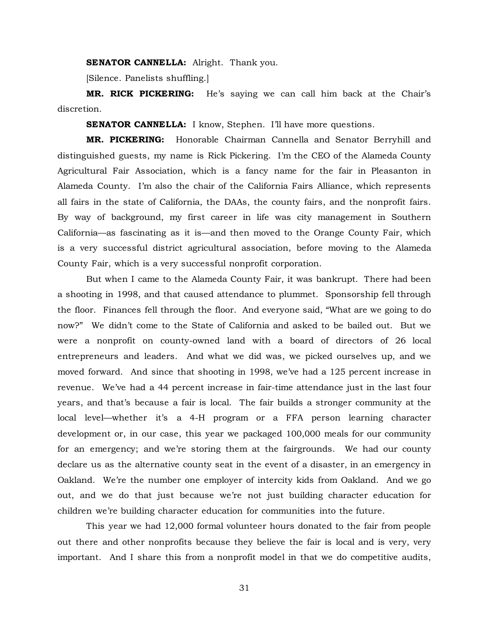#### **SENATOR CANNELLA:** Alright. Thank you.

[Silence. Panelists shuffling.]

**MR. RICK PICKERING:** He's saying we can call him back at the Chair's discretion.

**SENATOR CANNELLA:** I know, Stephen. I'll have more questions.

**MR. PICKERING:** Honorable Chairman Cannella and Senator Berryhill and distinguished guests, my name is Rick Pickering. I'm the CEO of the Alameda County Agricultural Fair Association, which is a fancy name for the fair in Pleasanton in Alameda County. I'm also the chair of the California Fairs Alliance, which represents all fairs in the state of California, the DAAs, the county fairs, and the nonprofit fairs. By way of background, my first career in life was city management in Southern California—as fascinating as it is—and then moved to the Orange County Fair, which is a very successful district agricultural association, before moving to the Alameda County Fair, which is a very successful nonprofit corporation.

But when I came to the Alameda County Fair, it was bankrupt. There had been a shooting in 1998, and that caused attendance to plummet. Sponsorship fell through the floor. Finances fell through the floor. And everyone said, "What are we going to do now?" We didn't come to the State of California and asked to be bailed out. But we were a nonprofit on county-owned land with a board of directors of 26 local entrepreneurs and leaders. And what we did was, we picked ourselves up, and we moved forward. And since that shooting in 1998, we've had a 125 percent increase in revenue. We've had a 44 percent increase in fair-time attendance just in the last four years, and that's because a fair is local. The fair builds a stronger community at the local level—whether it's a 4-H program or a FFA person learning character development or, in our case, this year we packaged 100,000 meals for our community for an emergency; and we're storing them at the fairgrounds. We had our county declare us as the alternative county seat in the event of a disaster, in an emergency in Oakland. We're the number one employer of intercity kids from Oakland. And we go out, and we do that just because we're not just building character education for children we're building character education for communities into the future.

This year we had 12,000 formal volunteer hours donated to the fair from people out there and other nonprofits because they believe the fair is local and is very, very important. And I share this from a nonprofit model in that we do competitive audits,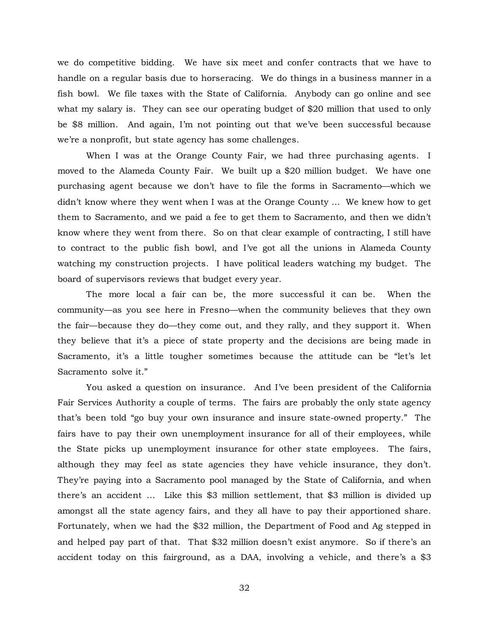we do competitive bidding. We have six meet and confer contracts that we have to handle on a regular basis due to horseracing. We do things in a business manner in a fish bowl. We file taxes with the State of California. Anybody can go online and see what my salary is. They can see our operating budget of \$20 million that used to only be \$8 million. And again, I'm not pointing out that we've been successful because we're a nonprofit, but state agency has some challenges.

When I was at the Orange County Fair, we had three purchasing agents. I moved to the Alameda County Fair. We built up a \$20 million budget. We have one purchasing agent because we don't have to file the forms in Sacramento—which we didn't know where they went when I was at the Orange County … We knew how to get them to Sacramento, and we paid a fee to get them to Sacramento, and then we didn't know where they went from there. So on that clear example of contracting, I still have to contract to the public fish bowl, and I've got all the unions in Alameda County watching my construction projects. I have political leaders watching my budget. The board of supervisors reviews that budget every year.

The more local a fair can be, the more successful it can be. When the community—as you see here in Fresno—when the community believes that they own the fair—because they do—they come out, and they rally, and they support it. When they believe that it's a piece of state property and the decisions are being made in Sacramento, it's a little tougher sometimes because the attitude can be "let's let Sacramento solve it."

You asked a question on insurance. And I've been president of the California Fair Services Authority a couple of terms. The fairs are probably the only state agency that's been told "go buy your own insurance and insure state-owned property." The fairs have to pay their own unemployment insurance for all of their employees, while the State picks up unemployment insurance for other state employees. The fairs, although they may feel as state agencies they have vehicle insurance, they don't. They're paying into a Sacramento pool managed by the State of California, and when there's an accident … Like this \$3 million settlement, that \$3 million is divided up amongst all the state agency fairs, and they all have to pay their apportioned share. Fortunately, when we had the \$32 million, the Department of Food and Ag stepped in and helped pay part of that. That \$32 million doesn't exist anymore. So if there's an accident today on this fairground, as a DAA, involving a vehicle, and there's a \$3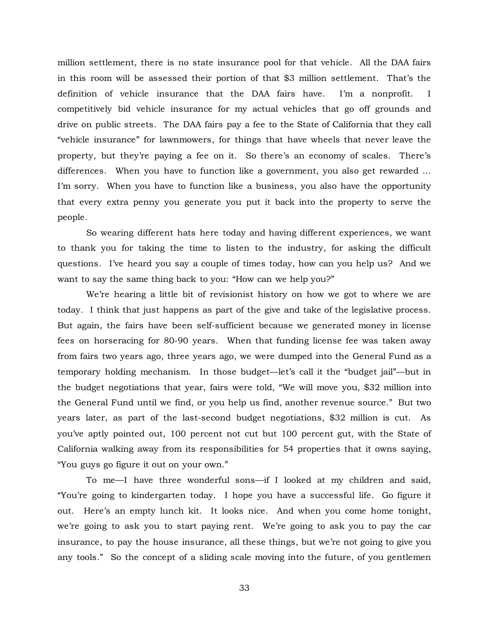million settlement, there is no state insurance pool for that vehicle. All the DAA fairs in this room will be assessed their portion of that \$3 million settlement. That's the definition of vehicle insurance that the DAA fairs have. I'm a nonprofit. I competitively bid vehicle insurance for my actual vehicles that go off grounds and drive on public streets. The DAA fairs pay a fee to the State of California that they call "vehicle insurance" for lawnmowers, for things that have wheels that never leave the property, but they're paying a fee on it. So there's an economy of scales. There's differences. When you have to function like a government, you also get rewarded … I'm sorry. When you have to function like a business, you also have the opportunity that every extra penny you generate you put it back into the property to serve the people.

So wearing different hats here today and having different experiences, we want to thank you for taking the time to listen to the industry, for asking the difficult questions. I've heard you say a couple of times today, how can you help us? And we want to say the same thing back to you: "How can we help you?"

We're hearing a little bit of revisionist history on how we got to where we are today. I think that just happens as part of the give and take of the legislative process. But again, the fairs have been self-sufficient because we generated money in license fees on horseracing for 80-90 years. When that funding license fee was taken away from fairs two years ago, three years ago, we were dumped into the General Fund as a temporary holding mechanism. In those budget—let's call it the "budget jail"—but in the budget negotiations that year, fairs were told, "We will move you, \$32 million into the General Fund until we find, or you help us find, another revenue source." But two years later, as part of the last-second budget negotiations, \$32 million is cut. As you've aptly pointed out, 100 percent not cut but 100 percent gut, with the State of California walking away from its responsibilities for 54 properties that it owns saying, "You guys go figure it out on your own."

To me—I have three wonderful sons—if I looked at my children and said, "You're going to kindergarten today. I hope you have a successful life. Go figure it out. Here's an empty lunch kit. It looks nice. And when you come home tonight, we're going to ask you to start paying rent. We're going to ask you to pay the car insurance, to pay the house insurance, all these things, but we're not going to give you any tools." So the concept of a sliding scale moving into the future, of you gentlemen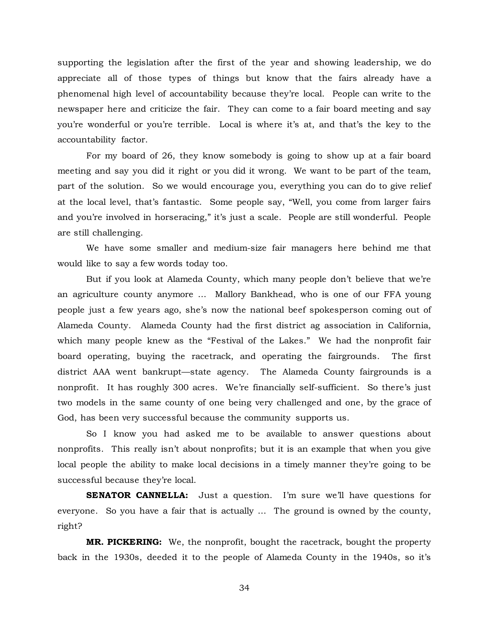supporting the legislation after the first of the year and showing leadership, we do appreciate all of those types of things but know that the fairs already have a phenomenal high level of accountability because they're local. People can write to the newspaper here and criticize the fair. They can come to a fair board meeting and say you're wonderful or you're terrible. Local is where it's at, and that's the key to the accountability factor.

For my board of 26, they know somebody is going to show up at a fair board meeting and say you did it right or you did it wrong. We want to be part of the team, part of the solution. So we would encourage you, everything you can do to give relief at the local level, that's fantastic. Some people say, "Well, you come from larger fairs and you're involved in horseracing," it's just a scale. People are still wonderful. People are still challenging.

We have some smaller and medium-size fair managers here behind me that would like to say a few words today too.

But if you look at Alameda County, which many people don't believe that we're an agriculture county anymore … Mallory Bankhead, who is one of our FFA young people just a few years ago, she's now the national beef spokesperson coming out of Alameda County. Alameda County had the first district ag association in California, which many people knew as the "Festival of the Lakes." We had the nonprofit fair board operating, buying the racetrack, and operating the fairgrounds. The first district AAA went bankrupt—state agency. The Alameda County fairgrounds is a nonprofit. It has roughly 300 acres. We're financially self-sufficient. So there's just two models in the same county of one being very challenged and one, by the grace of God, has been very successful because the community supports us.

So I know you had asked me to be available to answer questions about nonprofits. This really isn't about nonprofits; but it is an example that when you give local people the ability to make local decisions in a timely manner they're going to be successful because they're local.

**SENATOR CANNELLA:** Just a question. I'm sure we'll have questions for everyone. So you have a fair that is actually … The ground is owned by the county, right?

**MR. PICKERING:** We, the nonprofit, bought the racetrack, bought the property back in the 1930s, deeded it to the people of Alameda County in the 1940s, so it's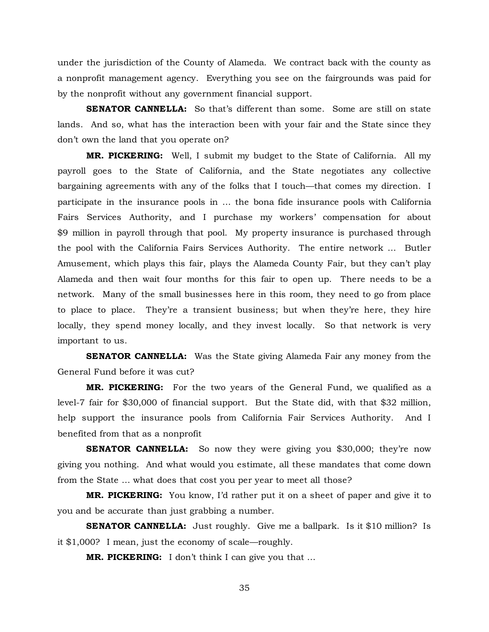under the jurisdiction of the County of Alameda. We contract back with the county as a nonprofit management agency. Everything you see on the fairgrounds was paid for by the nonprofit without any government financial support.

**SENATOR CANNELLA:** So that's different than some. Some are still on state lands. And so, what has the interaction been with your fair and the State since they don't own the land that you operate on?

**MR. PICKERING:** Well, I submit my budget to the State of California. All my payroll goes to the State of California, and the State negotiates any collective bargaining agreements with any of the folks that I touch—that comes my direction. I participate in the insurance pools in … the bona fide insurance pools with California Fairs Services Authority, and I purchase my workers' compensation for about \$9 million in payroll through that pool. My property insurance is purchased through the pool with the California Fairs Services Authority. The entire network … Butler Amusement, which plays this fair, plays the Alameda County Fair, but they can't play Alameda and then wait four months for this fair to open up. There needs to be a network. Many of the small businesses here in this room, they need to go from place to place to place. They're a transient business; but when they're here, they hire locally, they spend money locally, and they invest locally. So that network is very important to us.

**SENATOR CANNELLA:** Was the State giving Alameda Fair any money from the General Fund before it was cut?

**MR. PICKERING:** For the two years of the General Fund, we qualified as a level-7 fair for \$30,000 of financial support. But the State did, with that \$32 million, help support the insurance pools from California Fair Services Authority. And I benefited from that as a nonprofit

**SENATOR CANNELLA:** So now they were giving you \$30,000; they're now giving you nothing. And what would you estimate, all these mandates that come down from the State … what does that cost you per year to meet all those?

**MR. PICKERING:** You know, I'd rather put it on a sheet of paper and give it to you and be accurate than just grabbing a number.

**SENATOR CANNELLA:** Just roughly. Give me a ballpark. Is it \$10 million? Is it \$1,000? I mean, just the economy of scale—roughly.

**MR. PICKERING:** I don't think I can give you that …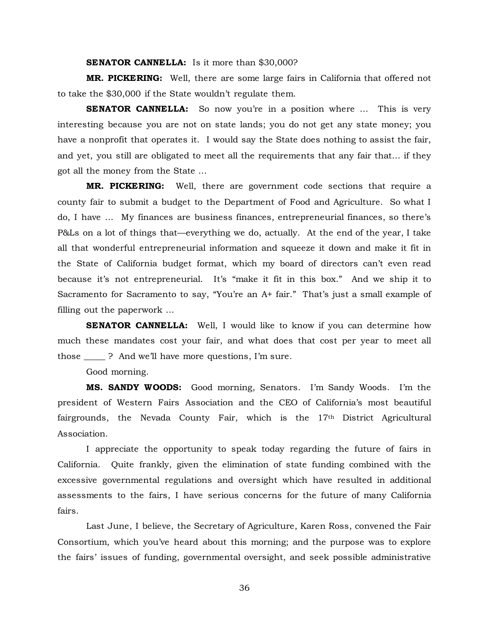**SENATOR CANNELLA:** Is it more than \$30,000?

**MR. PICKERING:** Well, there are some large fairs in California that offered not to take the \$30,000 if the State wouldn't regulate them.

**SENATOR CANNELLA:** So now you're in a position where ... This is very interesting because you are not on state lands; you do not get any state money; you have a nonprofit that operates it. I would say the State does nothing to assist the fair, and yet, you still are obligated to meet all the requirements that any fair that… if they got all the money from the State …

**MR. PICKERING:** Well, there are government code sections that require a county fair to submit a budget to the Department of Food and Agriculture. So what I do, I have … My finances are business finances, entrepreneurial finances, so there's P&Ls on a lot of things that—everything we do, actually. At the end of the year, I take all that wonderful entrepreneurial information and squeeze it down and make it fit in the State of California budget format, which my board of directors can't even read because it's not entrepreneurial. It's "make it fit in this box." And we ship it to Sacramento for Sacramento to say, "You're an A+ fair." That's just a small example of filling out the paperwork …

**SENATOR CANNELLA:** Well, I would like to know if you can determine how much these mandates cost your fair, and what does that cost per year to meet all those ? And we'll have more questions, I'm sure.

Good morning.

**MS. SANDY WOODS:** Good morning, Senators. I'm Sandy Woods. I'm the president of Western Fairs Association and the CEO of California's most beautiful fairgrounds, the Nevada County Fair, which is the 17th District Agricultural Association.

I appreciate the opportunity to speak today regarding the future of fairs in California. Quite frankly, given the elimination of state funding combined with the excessive governmental regulations and oversight which have resulted in additional assessments to the fairs, I have serious concerns for the future of many California fairs.

Last June, I believe, the Secretary of Agriculture, Karen Ross, convened the Fair Consortium, which you've heard about this morning; and the purpose was to explore the fairs' issues of funding, governmental oversight, and seek possible administrative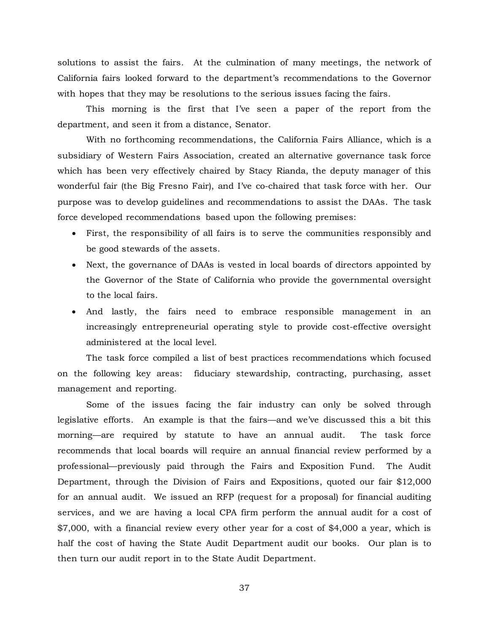solutions to assist the fairs. At the culmination of many meetings, the network of California fairs looked forward to the department's recommendations to the Governor with hopes that they may be resolutions to the serious issues facing the fairs.

This morning is the first that I've seen a paper of the report from the department, and seen it from a distance, Senator.

With no forthcoming recommendations, the California Fairs Alliance, which is a subsidiary of Western Fairs Association, created an alternative governance task force which has been very effectively chaired by Stacy Rianda, the deputy manager of this wonderful fair (the Big Fresno Fair), and I've co-chaired that task force with her. Our purpose was to develop guidelines and recommendations to assist the DAAs. The task force developed recommendations based upon the following premises:

- First, the responsibility of all fairs is to serve the communities responsibly and be good stewards of the assets.
- Next, the governance of DAAs is vested in local boards of directors appointed by the Governor of the State of California who provide the governmental oversight to the local fairs.
- And lastly, the fairs need to embrace responsible management in an increasingly entrepreneurial operating style to provide cost-effective oversight administered at the local level.

The task force compiled a list of best practices recommendations which focused on the following key areas: fiduciary stewardship, contracting, purchasing, asset management and reporting.

Some of the issues facing the fair industry can only be solved through legislative efforts. An example is that the fairs—and we've discussed this a bit this morning—are required by statute to have an annual audit. The task force recommends that local boards will require an annual financial review performed by a professional—previously paid through the Fairs and Exposition Fund. The Audit Department, through the Division of Fairs and Expositions, quoted our fair \$12,000 for an annual audit. We issued an RFP (request for a proposal) for financial auditing services, and we are having a local CPA firm perform the annual audit for a cost of \$7,000, with a financial review every other year for a cost of \$4,000 a year, which is half the cost of having the State Audit Department audit our books. Our plan is to then turn our audit report in to the State Audit Department.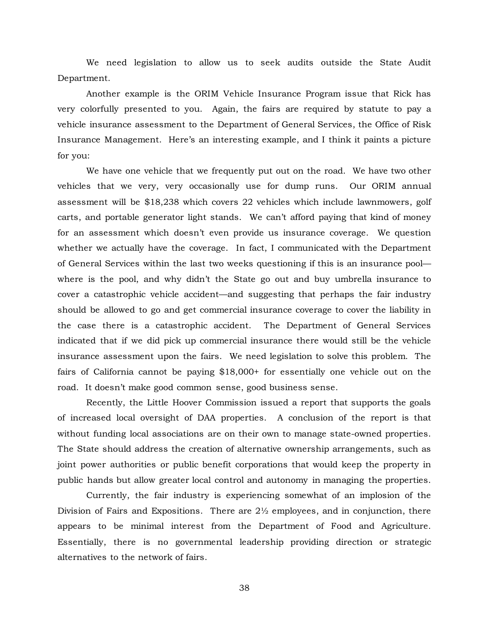We need legislation to allow us to seek audits outside the State Audit Department.

Another example is the ORIM Vehicle Insurance Program issue that Rick has very colorfully presented to you. Again, the fairs are required by statute to pay a vehicle insurance assessment to the Department of General Services, the Office of Risk Insurance Management. Here's an interesting example, and I think it paints a picture for you:

We have one vehicle that we frequently put out on the road. We have two other vehicles that we very, very occasionally use for dump runs. Our ORIM annual assessment will be \$18,238 which covers 22 vehicles which include lawnmowers, golf carts, and portable generator light stands. We can't afford paying that kind of money for an assessment which doesn't even provide us insurance coverage. We question whether we actually have the coverage. In fact, I communicated with the Department of General Services within the last two weeks questioning if this is an insurance pool where is the pool, and why didn't the State go out and buy umbrella insurance to cover a catastrophic vehicle accident—and suggesting that perhaps the fair industry should be allowed to go and get commercial insurance coverage to cover the liability in the case there is a catastrophic accident. The Department of General Services indicated that if we did pick up commercial insurance there would still be the vehicle insurance assessment upon the fairs. We need legislation to solve this problem. The fairs of California cannot be paying \$18,000+ for essentially one vehicle out on the road. It doesn't make good common sense, good business sense.

Recently, the Little Hoover Commission issued a report that supports the goals of increased local oversight of DAA properties. A conclusion of the report is that without funding local associations are on their own to manage state-owned properties. The State should address the creation of alternative ownership arrangements, such as joint power authorities or public benefit corporations that would keep the property in public hands but allow greater local control and autonomy in managing the properties.

Currently, the fair industry is experiencing somewhat of an implosion of the Division of Fairs and Expositions. There are  $2\frac{1}{2}$  employees, and in conjunction, there appears to be minimal interest from the Department of Food and Agriculture. Essentially, there is no governmental leadership providing direction or strategic alternatives to the network of fairs.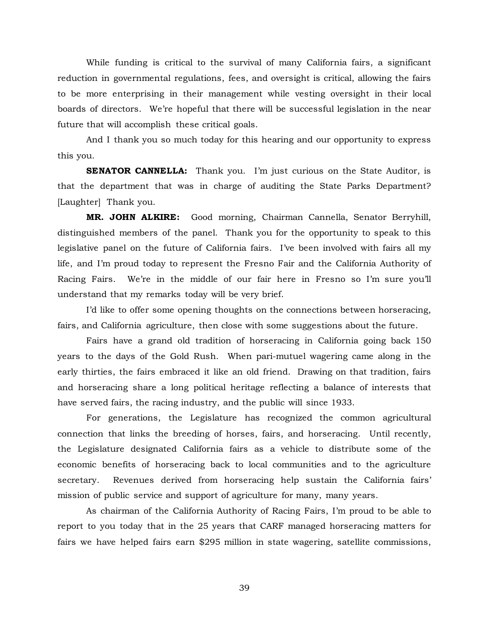While funding is critical to the survival of many California fairs, a significant reduction in governmental regulations, fees, and oversight is critical, allowing the fairs to be more enterprising in their management while vesting oversight in their local boards of directors. We're hopeful that there will be successful legislation in the near future that will accomplish these critical goals.

And I thank you so much today for this hearing and our opportunity to express this you.

**SENATOR CANNELLA:** Thank you. I'm just curious on the State Auditor, is that the department that was in charge of auditing the State Parks Department? [Laughter] Thank you.

**MR. JOHN ALKIRE:** Good morning, Chairman Cannella, Senator Berryhill, distinguished members of the panel. Thank you for the opportunity to speak to this legislative panel on the future of California fairs. I've been involved with fairs all my life, and I'm proud today to represent the Fresno Fair and the California Authority of Racing Fairs. We're in the middle of our fair here in Fresno so I'm sure you'll understand that my remarks today will be very brief.

I'd like to offer some opening thoughts on the connections between horseracing, fairs, and California agriculture, then close with some suggestions about the future.

Fairs have a grand old tradition of horseracing in California going back 150 years to the days of the Gold Rush. When pari-mutuel wagering came along in the early thirties, the fairs embraced it like an old friend. Drawing on that tradition, fairs and horseracing share a long political heritage reflecting a balance of interests that have served fairs, the racing industry, and the public will since 1933.

For generations, the Legislature has recognized the common agricultural connection that links the breeding of horses, fairs, and horseracing. Until recently, the Legislature designated California fairs as a vehicle to distribute some of the economic benefits of horseracing back to local communities and to the agriculture secretary. Revenues derived from horseracing help sustain the California fairs' mission of public service and support of agriculture for many, many years.

As chairman of the California Authority of Racing Fairs, I'm proud to be able to report to you today that in the 25 years that CARF managed horseracing matters for fairs we have helped fairs earn \$295 million in state wagering, satellite commissions,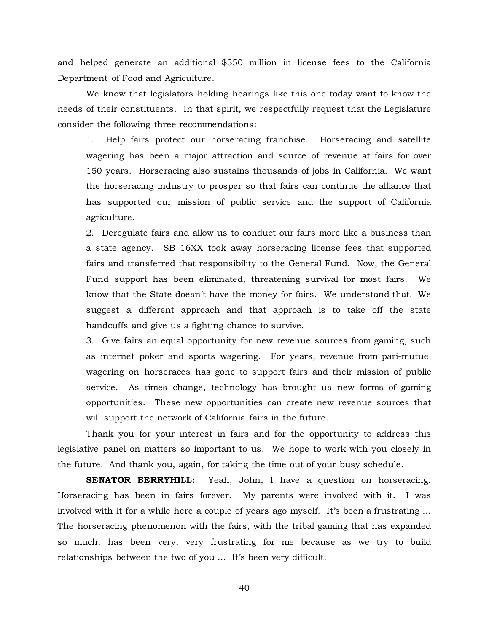and helped generate an additional \$350 million in license fees to the California Department of Food and Agriculture.

We know that legislators holding hearings like this one today want to know the needs of their constituents. In that spirit, we respectfully request that the Legislature consider the following three recommendations:

1. Help fairs protect our horseracing franchise. Horseracing and satellite wagering has been a major attraction and source of revenue at fairs for over 150 years. Horseracing also sustains thousands of jobs in California. We want the horseracing industry to prosper so that fairs can continue the alliance that has supported our mission of public service and the support of California agriculture.

2. Deregulate fairs and allow us to conduct our fairs more like a business than a state agency. SB 16XX took away horseracing license fees that supported fairs and transferred that responsibility to the General Fund. Now, the General Fund support has been eliminated, threatening survival for most fairs. We know that the State doesn't have the money for fairs. We understand that. We suggest a different approach and that approach is to take off the state handcuffs and give us a fighting chance to survive.

3. Give fairs an equal opportunity for new revenue sources from gaming, such as internet poker and sports wagering. For years, revenue from pari-mutuel wagering on horseraces has gone to support fairs and their mission of public service. As times change, technology has brought us new forms of gaming opportunities. These new opportunities can create new revenue sources that will support the network of California fairs in the future.

Thank you for your interest in fairs and for the opportunity to address this legislative panel on matters so important to us. We hope to work with you closely in the future. And thank you, again, for taking the time out of your busy schedule.

**SENATOR BERRYHILL:** Yeah, John, I have a question on horseracing. Horseracing has been in fairs forever. My parents were involved with it. I was involved with it for a while here a couple of years ago myself. It's been a frustrating … The horseracing phenomenon with the fairs, with the tribal gaming that has expanded so much, has been very, very frustrating for me because as we try to build relationships between the two of you … It's been very difficult.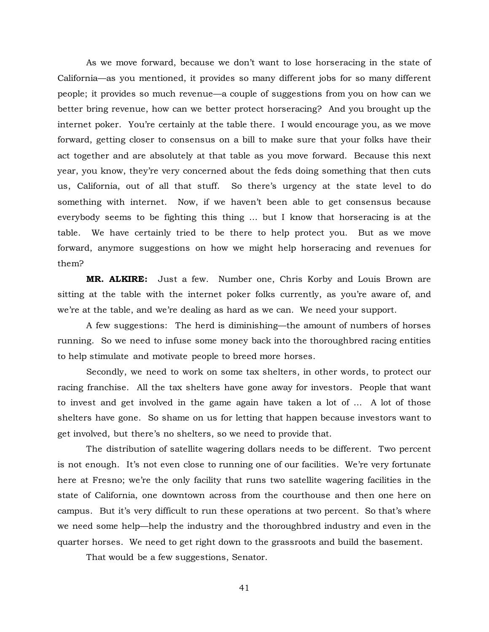As we move forward, because we don't want to lose horseracing in the state of California—as you mentioned, it provides so many different jobs for so many different people; it provides so much revenue—a couple of suggestions from you on how can we better bring revenue, how can we better protect horseracing? And you brought up the internet poker. You're certainly at the table there. I would encourage you, as we move forward, getting closer to consensus on a bill to make sure that your folks have their act together and are absolutely at that table as you move forward. Because this next year, you know, they're very concerned about the feds doing something that then cuts us, California, out of all that stuff. So there's urgency at the state level to do something with internet. Now, if we haven't been able to get consensus because everybody seems to be fighting this thing … but I know that horseracing is at the table. We have certainly tried to be there to help protect you. But as we move forward, anymore suggestions on how we might help horseracing and revenues for them?

**MR. ALKIRE:** Just a few. Number one, Chris Korby and Louis Brown are sitting at the table with the internet poker folks currently, as you're aware of, and we're at the table, and we're dealing as hard as we can. We need your support.

A few suggestions: The herd is diminishing—the amount of numbers of horses running. So we need to infuse some money back into the thoroughbred racing entities to help stimulate and motivate people to breed more horses.

Secondly, we need to work on some tax shelters, in other words, to protect our racing franchise. All the tax shelters have gone away for investors. People that want to invest and get involved in the game again have taken a lot of … A lot of those shelters have gone. So shame on us for letting that happen because investors want to get involved, but there's no shelters, so we need to provide that.

The distribution of satellite wagering dollars needs to be different. Two percent is not enough. It's not even close to running one of our facilities. We're very fortunate here at Fresno; we're the only facility that runs two satellite wagering facilities in the state of California, one downtown across from the courthouse and then one here on campus. But it's very difficult to run these operations at two percent. So that's where we need some help—help the industry and the thoroughbred industry and even in the quarter horses. We need to get right down to the grassroots and build the basement.

That would be a few suggestions, Senator.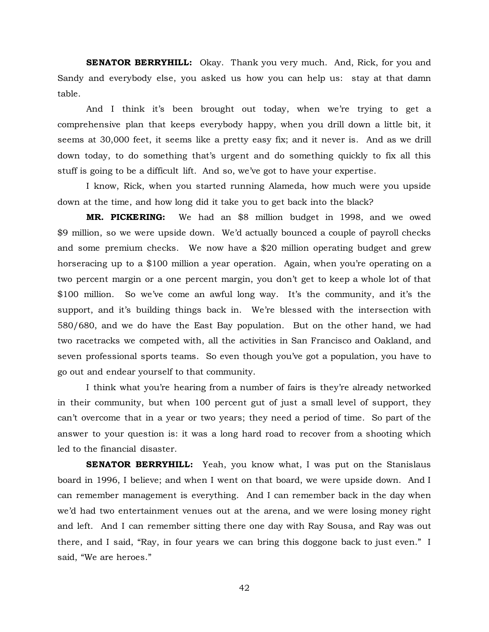**SENATOR BERRYHILL:** Okay. Thank you very much. And, Rick, for you and Sandy and everybody else, you asked us how you can help us: stay at that damn table.

And I think it's been brought out today, when we're trying to get a comprehensive plan that keeps everybody happy, when you drill down a little bit, it seems at 30,000 feet, it seems like a pretty easy fix; and it never is. And as we drill down today, to do something that's urgent and do something quickly to fix all this stuff is going to be a difficult lift. And so, we've got to have your expertise.

I know, Rick, when you started running Alameda, how much were you upside down at the time, and how long did it take you to get back into the black?

**MR. PICKERING:** We had an \$8 million budget in 1998, and we owed \$9 million, so we were upside down. We'd actually bounced a couple of payroll checks and some premium checks. We now have a \$20 million operating budget and grew horseracing up to a \$100 million a year operation. Again, when you're operating on a two percent margin or a one percent margin, you don't get to keep a whole lot of that \$100 million. So we've come an awful long way. It's the community, and it's the support, and it's building things back in. We're blessed with the intersection with 580/680, and we do have the East Bay population. But on the other hand, we had two racetracks we competed with, all the activities in San Francisco and Oakland, and seven professional sports teams. So even though you've got a population, you have to go out and endear yourself to that community.

I think what you're hearing from a number of fairs is they're already networked in their community, but when 100 percent gut of just a small level of support, they can't overcome that in a year or two years; they need a period of time. So part of the answer to your question is: it was a long hard road to recover from a shooting which led to the financial disaster.

**SENATOR BERRYHILL:** Yeah, you know what, I was put on the Stanislaus board in 1996, I believe; and when I went on that board, we were upside down. And I can remember management is everything. And I can remember back in the day when we'd had two entertainment venues out at the arena, and we were losing money right and left. And I can remember sitting there one day with Ray Sousa, and Ray was out there, and I said, "Ray, in four years we can bring this doggone back to just even." I said, "We are heroes."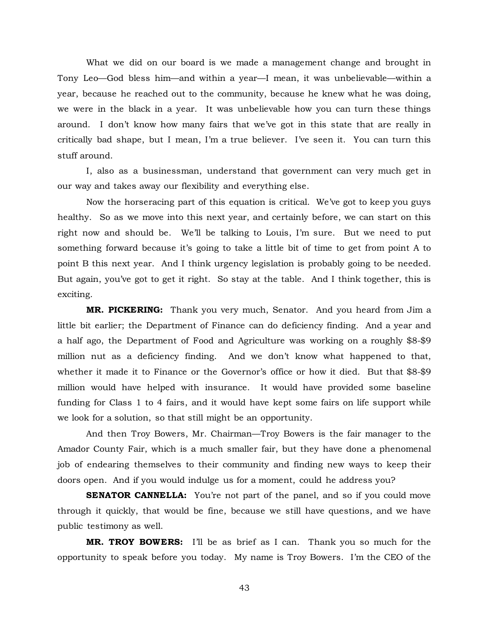What we did on our board is we made a management change and brought in Tony Leo—God bless him—and within a year—I mean, it was unbelievable—within a year, because he reached out to the community, because he knew what he was doing, we were in the black in a year. It was unbelievable how you can turn these things around. I don't know how many fairs that we've got in this state that are really in critically bad shape, but I mean, I'm a true believer. I've seen it. You can turn this stuff around.

I, also as a businessman, understand that government can very much get in our way and takes away our flexibility and everything else.

Now the horseracing part of this equation is critical. We've got to keep you guys healthy. So as we move into this next year, and certainly before, we can start on this right now and should be. We'll be talking to Louis, I'm sure. But we need to put something forward because it's going to take a little bit of time to get from point A to point B this next year. And I think urgency legislation is probably going to be needed. But again, you've got to get it right. So stay at the table. And I think together, this is exciting.

**MR. PICKERING:** Thank you very much, Senator. And you heard from Jim a little bit earlier; the Department of Finance can do deficiency finding. And a year and a half ago, the Department of Food and Agriculture was working on a roughly \$8-\$9 million nut as a deficiency finding. And we don't know what happened to that, whether it made it to Finance or the Governor's office or how it died. But that \$8-\$9 million would have helped with insurance. It would have provided some baseline funding for Class 1 to 4 fairs, and it would have kept some fairs on life support while we look for a solution, so that still might be an opportunity.

And then Troy Bowers, Mr. Chairman—Troy Bowers is the fair manager to the Amador County Fair, which is a much smaller fair, but they have done a phenomenal job of endearing themselves to their community and finding new ways to keep their doors open. And if you would indulge us for a moment, could he address you?

**SENATOR CANNELLA:** You're not part of the panel, and so if you could move through it quickly, that would be fine, because we still have questions, and we have public testimony as well.

**MR. TROY BOWERS:** I'll be as brief as I can. Thank you so much for the opportunity to speak before you today. My name is Troy Bowers. I'm the CEO of the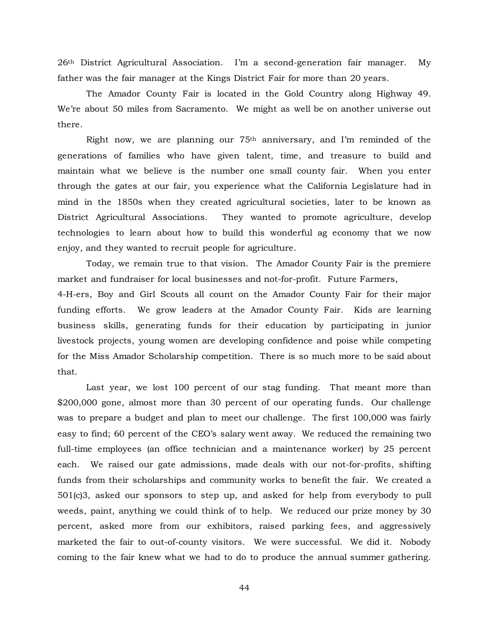26th District Agricultural Association. I'm a second-generation fair manager. My father was the fair manager at the Kings District Fair for more than 20 years.

The Amador County Fair is located in the Gold Country along Highway 49. We're about 50 miles from Sacramento. We might as well be on another universe out there.

Right now, we are planning our 75th anniversary, and I'm reminded of the generations of families who have given talent, time, and treasure to build and maintain what we believe is the number one small county fair. When you enter through the gates at our fair, you experience what the California Legislature had in mind in the 1850s when they created agricultural societies, later to be known as District Agricultural Associations. They wanted to promote agriculture, develop technologies to learn about how to build this wonderful ag economy that we now enjoy, and they wanted to recruit people for agriculture.

Today, we remain true to that vision. The Amador County Fair is the premiere market and fundraiser for local businesses and not-for-profit. Future Farmers,

4-H-ers, Boy and Girl Scouts all count on the Amador County Fair for their major funding efforts. We grow leaders at the Amador County Fair. Kids are learning business skills, generating funds for their education by participating in junior livestock projects, young women are developing confidence and poise while competing for the Miss Amador Scholarship competition. There is so much more to be said about that.

Last year, we lost 100 percent of our stag funding. That meant more than \$200,000 gone, almost more than 30 percent of our operating funds. Our challenge was to prepare a budget and plan to meet our challenge. The first 100,000 was fairly easy to find; 60 percent of the CEO's salary went away. We reduced the remaining two full-time employees (an office technician and a maintenance worker) by 25 percent each. We raised our gate admissions, made deals with our not-for-profits, shifting funds from their scholarships and community works to benefit the fair. We created a 501(c)3, asked our sponsors to step up, and asked for help from everybody to pull weeds, paint, anything we could think of to help. We reduced our prize money by 30 percent, asked more from our exhibitors, raised parking fees, and aggressively marketed the fair to out-of-county visitors. We were successful. We did it. Nobody coming to the fair knew what we had to do to produce the annual summer gathering.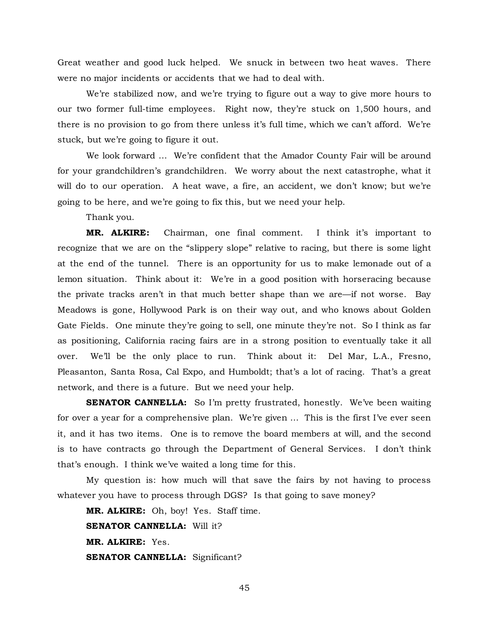Great weather and good luck helped. We snuck in between two heat waves. There were no major incidents or accidents that we had to deal with.

We're stabilized now, and we're trying to figure out a way to give more hours to our two former full-time employees. Right now, they're stuck on 1,500 hours, and there is no provision to go from there unless it's full time, which we can't afford. We're stuck, but we're going to figure it out.

We look forward … We're confident that the Amador County Fair will be around for your grandchildren's grandchildren. We worry about the next catastrophe, what it will do to our operation. A heat wave, a fire, an accident, we don't know; but we're going to be here, and we're going to fix this, but we need your help.

Thank you.

**MR. ALKIRE:** Chairman, one final comment. I think it's important to recognize that we are on the "slippery slope" relative to racing, but there is some light at the end of the tunnel. There is an opportunity for us to make lemonade out of a lemon situation. Think about it: We're in a good position with horseracing because the private tracks aren't in that much better shape than we are—if not worse. Bay Meadows is gone, Hollywood Park is on their way out, and who knows about Golden Gate Fields. One minute they're going to sell, one minute they're not. So I think as far as positioning, California racing fairs are in a strong position to eventually take it all over. We'll be the only place to run. Think about it: Del Mar, L.A., Fresno, Pleasanton, Santa Rosa, Cal Expo, and Humboldt; that's a lot of racing. That's a great network, and there is a future. But we need your help.

**SENATOR CANNELLA:** So I'm pretty frustrated, honestly. We've been waiting for over a year for a comprehensive plan. We're given … This is the first I've ever seen it, and it has two items. One is to remove the board members at will, and the second is to have contracts go through the Department of General Services. I don't think that's enough. I think we've waited a long time for this.

My question is: how much will that save the fairs by not having to process whatever you have to process through DGS? Is that going to save money?

**MR. ALKIRE:** Oh, boy! Yes. Staff time. **SENATOR CANNELLA:** Will it? **MR. ALKIRE:** Yes. **SENATOR CANNELLA:** Significant?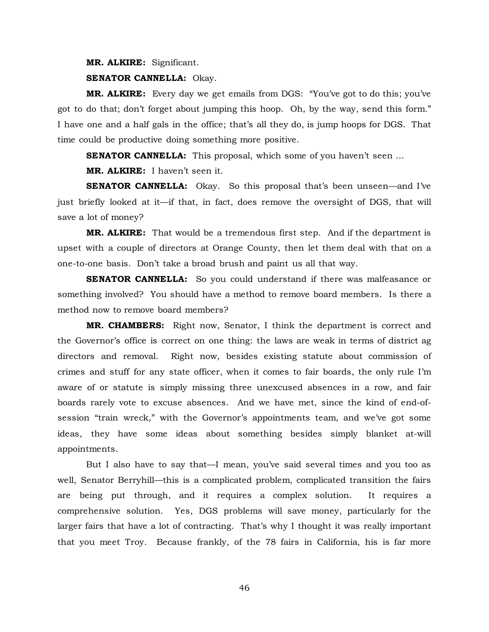#### **MR. ALKIRE:** Significant.

#### **SENATOR CANNELLA:** Okay.

**MR. ALKIRE:** Every day we get emails from DGS: "You've got to do this; you've got to do that; don't forget about jumping this hoop. Oh, by the way, send this form." I have one and a half gals in the office; that's all they do, is jump hoops for DGS. That time could be productive doing something more positive.

**SENATOR CANNELLA:** This proposal, which some of you haven't seen ...

**MR. ALKIRE:** I haven't seen it.

**SENATOR CANNELLA:** Okay. So this proposal that's been unseen—and I've just briefly looked at it—if that, in fact, does remove the oversight of DGS, that will save a lot of money?

**MR. ALKIRE:** That would be a tremendous first step. And if the department is upset with a couple of directors at Orange County, then let them deal with that on a one-to-one basis. Don't take a broad brush and paint us all that way.

**SENATOR CANNELLA:** So you could understand if there was malfeasance or something involved? You should have a method to remove board members. Is there a method now to remove board members?

**MR. CHAMBERS:** Right now, Senator, I think the department is correct and the Governor's office is correct on one thing: the laws are weak in terms of district ag directors and removal. Right now, besides existing statute about commission of crimes and stuff for any state officer, when it comes to fair boards, the only rule I'm aware of or statute is simply missing three unexcused absences in a row, and fair boards rarely vote to excuse absences. And we have met, since the kind of end-ofsession "train wreck," with the Governor's appointments team, and we've got some ideas, they have some ideas about something besides simply blanket at-will appointments.

But I also have to say that—I mean, you've said several times and you too as well, Senator Berryhill—this is a complicated problem, complicated transition the fairs are being put through, and it requires a complex solution. It requires a comprehensive solution. Yes, DGS problems will save money, particularly for the larger fairs that have a lot of contracting. That's why I thought it was really important that you meet Troy. Because frankly, of the 78 fairs in California, his is far more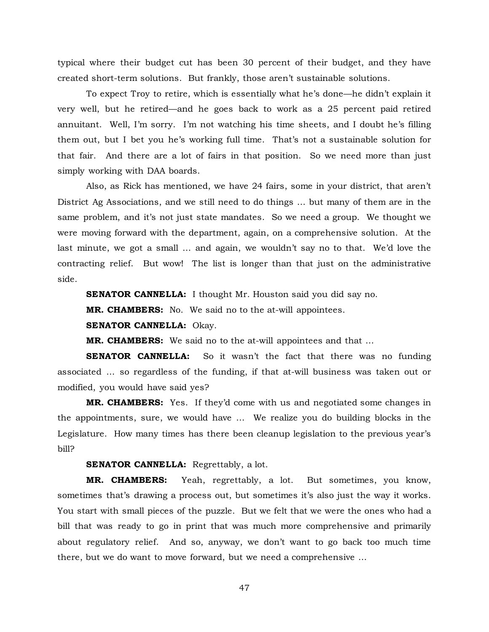typical where their budget cut has been 30 percent of their budget, and they have created short-term solutions. But frankly, those aren't sustainable solutions.

To expect Troy to retire, which is essentially what he's done—he didn't explain it very well, but he retired—and he goes back to work as a 25 percent paid retired annuitant. Well, I'm sorry. I'm not watching his time sheets, and I doubt he's filling them out, but I bet you he's working full time. That's not a sustainable solution for that fair. And there are a lot of fairs in that position. So we need more than just simply working with DAA boards.

Also, as Rick has mentioned, we have 24 fairs, some in your district, that aren't District Ag Associations, and we still need to do things … but many of them are in the same problem, and it's not just state mandates. So we need a group. We thought we were moving forward with the department, again, on a comprehensive solution. At the last minute, we got a small … and again, we wouldn't say no to that. We'd love the contracting relief. But wow! The list is longer than that just on the administrative side.

**SENATOR CANNELLA:** I thought Mr. Houston said you did say no.

**MR. CHAMBERS:** No. We said no to the at-will appointees.

**SENATOR CANNELLA:** Okay.

**MR. CHAMBERS:** We said no to the at-will appointees and that …

**SENATOR CANNELLA:** So it wasn't the fact that there was no funding associated … so regardless of the funding, if that at-will business was taken out or modified, you would have said yes?

**MR. CHAMBERS:** Yes. If they'd come with us and negotiated some changes in the appointments, sure, we would have … We realize you do building blocks in the Legislature. How many times has there been cleanup legislation to the previous year's bill?

## **SENATOR CANNELLA:** Regrettably, a lot.

**MR. CHAMBERS:** Yeah, regrettably, a lot. But sometimes, you know, sometimes that's drawing a process out, but sometimes it's also just the way it works. You start with small pieces of the puzzle. But we felt that we were the ones who had a bill that was ready to go in print that was much more comprehensive and primarily about regulatory relief. And so, anyway, we don't want to go back too much time there, but we do want to move forward, but we need a comprehensive …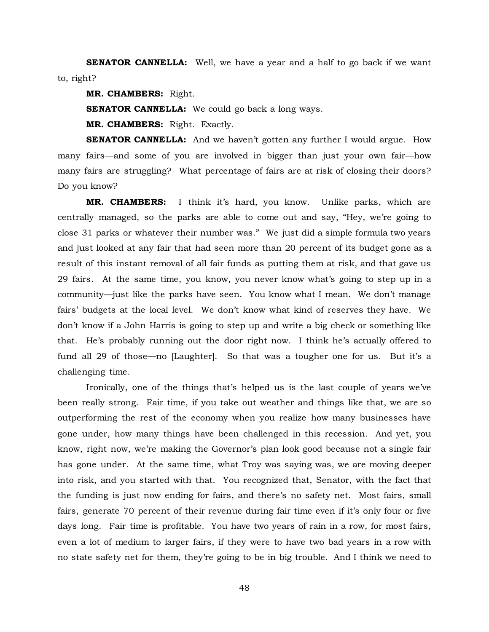**SENATOR CANNELLA:** Well, we have a year and a half to go back if we want to, right?

**MR. CHAMBERS:** Right.

**SENATOR CANNELLA:** We could go back a long ways.

**MR. CHAMBERS:** Right. Exactly.

**SENATOR CANNELLA:** And we haven't gotten any further I would argue. How many fairs—and some of you are involved in bigger than just your own fair—how many fairs are struggling? What percentage of fairs are at risk of closing their doors? Do you know?

**MR. CHAMBERS:** I think it's hard, you know. Unlike parks, which are centrally managed, so the parks are able to come out and say, "Hey, we're going to close 31 parks or whatever their number was." We just did a simple formula two years and just looked at any fair that had seen more than 20 percent of its budget gone as a result of this instant removal of all fair funds as putting them at risk, and that gave us 29 fairs. At the same time, you know, you never know what's going to step up in a community—just like the parks have seen. You know what I mean. We don't manage fairs' budgets at the local level. We don't know what kind of reserves they have. We don't know if a John Harris is going to step up and write a big check or something like that. He's probably running out the door right now. I think he's actually offered to fund all 29 of those—no [Laughter]. So that was a tougher one for us. But it's a challenging time.

Ironically, one of the things that's helped us is the last couple of years we've been really strong. Fair time, if you take out weather and things like that, we are so outperforming the rest of the economy when you realize how many businesses have gone under, how many things have been challenged in this recession. And yet, you know, right now, we're making the Governor's plan look good because not a single fair has gone under. At the same time, what Troy was saying was, we are moving deeper into risk, and you started with that. You recognized that, Senator, with the fact that the funding is just now ending for fairs, and there's no safety net. Most fairs, small fairs, generate 70 percent of their revenue during fair time even if it's only four or five days long. Fair time is profitable. You have two years of rain in a row, for most fairs, even a lot of medium to larger fairs, if they were to have two bad years in a row with no state safety net for them, they're going to be in big trouble. And I think we need to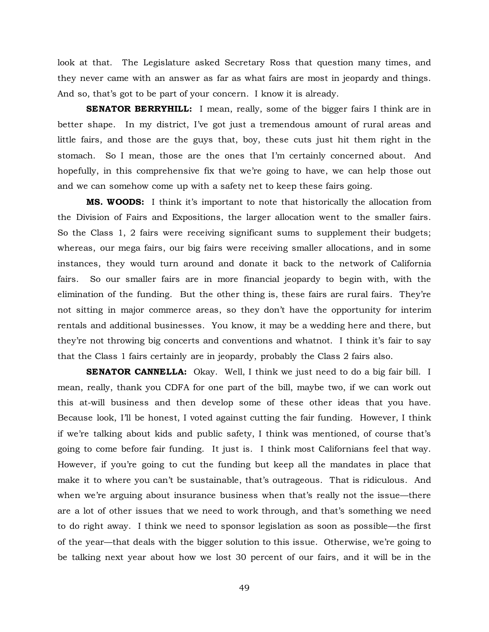look at that. The Legislature asked Secretary Ross that question many times, and they never came with an answer as far as what fairs are most in jeopardy and things. And so, that's got to be part of your concern. I know it is already.

**SENATOR BERRYHILL:** I mean, really, some of the bigger fairs I think are in better shape. In my district, I've got just a tremendous amount of rural areas and little fairs, and those are the guys that, boy, these cuts just hit them right in the stomach. So I mean, those are the ones that I'm certainly concerned about. And hopefully, in this comprehensive fix that we're going to have, we can help those out and we can somehow come up with a safety net to keep these fairs going.

**MS. WOODS:** I think it's important to note that historically the allocation from the Division of Fairs and Expositions, the larger allocation went to the smaller fairs. So the Class 1, 2 fairs were receiving significant sums to supplement their budgets; whereas, our mega fairs, our big fairs were receiving smaller allocations, and in some instances, they would turn around and donate it back to the network of California fairs. So our smaller fairs are in more financial jeopardy to begin with, with the elimination of the funding. But the other thing is, these fairs are rural fairs. They're not sitting in major commerce areas, so they don't have the opportunity for interim rentals and additional businesses. You know, it may be a wedding here and there, but they're not throwing big concerts and conventions and whatnot. I think it's fair to say that the Class 1 fairs certainly are in jeopardy, probably the Class 2 fairs also.

**SENATOR CANNELLA:** Okay. Well, I think we just need to do a big fair bill. I mean, really, thank you CDFA for one part of the bill, maybe two, if we can work out this at-will business and then develop some of these other ideas that you have. Because look, I'll be honest, I voted against cutting the fair funding. However, I think if we're talking about kids and public safety, I think was mentioned, of course that's going to come before fair funding. It just is. I think most Californians feel that way. However, if you're going to cut the funding but keep all the mandates in place that make it to where you can't be sustainable, that's outrageous. That is ridiculous. And when we're arguing about insurance business when that's really not the issue—there are a lot of other issues that we need to work through, and that's something we need to do right away. I think we need to sponsor legislation as soon as possible—the first of the year—that deals with the bigger solution to this issue. Otherwise, we're going to be talking next year about how we lost 30 percent of our fairs, and it will be in the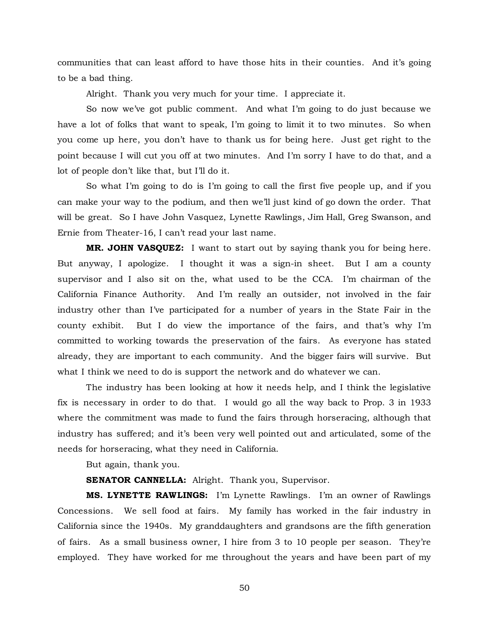communities that can least afford to have those hits in their counties. And it's going to be a bad thing.

Alright. Thank you very much for your time. I appreciate it.

So now we've got public comment. And what I'm going to do just because we have a lot of folks that want to speak, I'm going to limit it to two minutes. So when you come up here, you don't have to thank us for being here. Just get right to the point because I will cut you off at two minutes. And I'm sorry I have to do that, and a lot of people don't like that, but I'll do it.

So what I'm going to do is I'm going to call the first five people up, and if you can make your way to the podium, and then we'll just kind of go down the order. That will be great. So I have John Vasquez, Lynette Rawlings, Jim Hall, Greg Swanson, and Ernie from Theater-16, I can't read your last name.

**MR. JOHN VASQUEZ:** I want to start out by saying thank you for being here. But anyway, I apologize. I thought it was a sign-in sheet. But I am a county supervisor and I also sit on the, what used to be the CCA. I'm chairman of the California Finance Authority. And I'm really an outsider, not involved in the fair industry other than I've participated for a number of years in the State Fair in the county exhibit. But I do view the importance of the fairs, and that's why I'm committed to working towards the preservation of the fairs. As everyone has stated already, they are important to each community. And the bigger fairs will survive. But what I think we need to do is support the network and do whatever we can.

The industry has been looking at how it needs help, and I think the legislative fix is necessary in order to do that. I would go all the way back to Prop. 3 in 1933 where the commitment was made to fund the fairs through horseracing, although that industry has suffered; and it's been very well pointed out and articulated, some of the needs for horseracing, what they need in California.

But again, thank you.

### **SENATOR CANNELLA:** Alright. Thank you, Supervisor.

**MS. LYNETTE RAWLINGS:** I'm Lynette Rawlings. I'm an owner of Rawlings Concessions. We sell food at fairs. My family has worked in the fair industry in California since the 1940s. My granddaughters and grandsons are the fifth generation of fairs. As a small business owner, I hire from 3 to 10 people per season. They're employed. They have worked for me throughout the years and have been part of my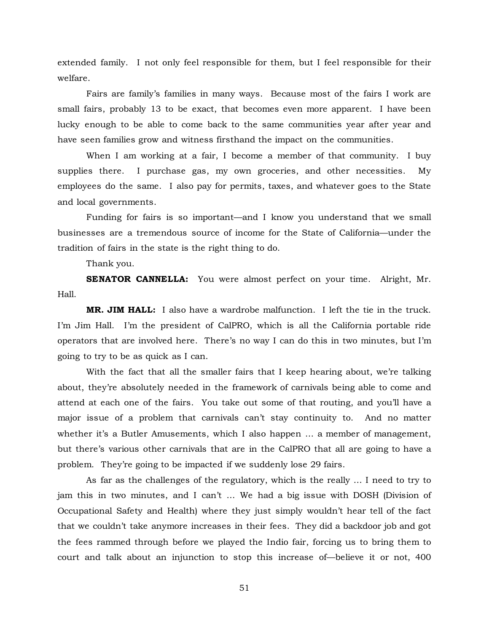extended family. I not only feel responsible for them, but I feel responsible for their welfare.

Fairs are family's families in many ways. Because most of the fairs I work are small fairs, probably 13 to be exact, that becomes even more apparent. I have been lucky enough to be able to come back to the same communities year after year and have seen families grow and witness firsthand the impact on the communities.

When I am working at a fair, I become a member of that community. I buy supplies there. I purchase gas, my own groceries, and other necessities. My employees do the same. I also pay for permits, taxes, and whatever goes to the State and local governments.

Funding for fairs is so important—and I know you understand that we small businesses are a tremendous source of income for the State of California—under the tradition of fairs in the state is the right thing to do.

Thank you.

**SENATOR CANNELLA:** You were almost perfect on your time. Alright, Mr. Hall.

**MR. JIM HALL:** I also have a wardrobe malfunction. I left the tie in the truck. I'm Jim Hall. I'm the president of CalPRO, which is all the California portable ride operators that are involved here. There's no way I can do this in two minutes, but I'm going to try to be as quick as I can.

With the fact that all the smaller fairs that I keep hearing about, we're talking about, they're absolutely needed in the framework of carnivals being able to come and attend at each one of the fairs. You take out some of that routing, and you'll have a major issue of a problem that carnivals can't stay continuity to. And no matter whether it's a Butler Amusements, which I also happen ... a member of management, but there's various other carnivals that are in the CalPRO that all are going to have a problem. They're going to be impacted if we suddenly lose 29 fairs.

As far as the challenges of the regulatory, which is the really … I need to try to jam this in two minutes, and I can't … We had a big issue with DOSH (Division of Occupational Safety and Health) where they just simply wouldn't hear tell of the fact that we couldn't take anymore increases in their fees. They did a backdoor job and got the fees rammed through before we played the Indio fair, forcing us to bring them to court and talk about an injunction to stop this increase of—believe it or not, 400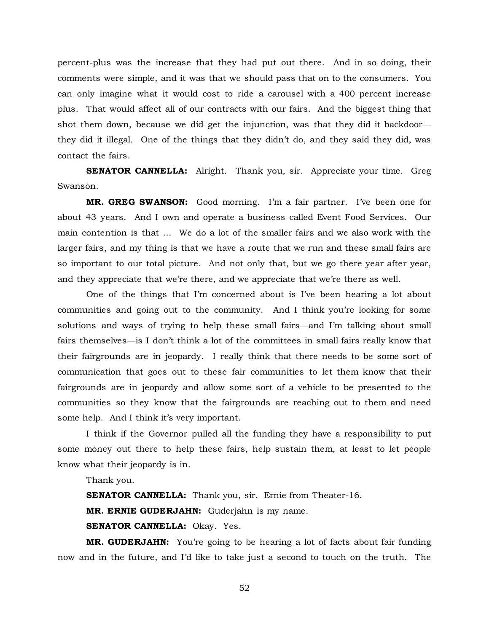percent-plus was the increase that they had put out there. And in so doing, their comments were simple, and it was that we should pass that on to the consumers. You can only imagine what it would cost to ride a carousel with a 400 percent increase plus. That would affect all of our contracts with our fairs. And the biggest thing that shot them down, because we did get the injunction, was that they did it backdoor they did it illegal. One of the things that they didn't do, and they said they did, was contact the fairs.

**SENATOR CANNELLA:** Alright. Thank you, sir. Appreciate your time. Greg Swanson.

**MR. GREG SWANSON:** Good morning. I'm a fair partner. I've been one for about 43 years. And I own and operate a business called Event Food Services. Our main contention is that … We do a lot of the smaller fairs and we also work with the larger fairs, and my thing is that we have a route that we run and these small fairs are so important to our total picture. And not only that, but we go there year after year, and they appreciate that we're there, and we appreciate that we're there as well.

One of the things that I'm concerned about is I've been hearing a lot about communities and going out to the community. And I think you're looking for some solutions and ways of trying to help these small fairs—and I'm talking about small fairs themselves—is I don't think a lot of the committees in small fairs really know that their fairgrounds are in jeopardy. I really think that there needs to be some sort of communication that goes out to these fair communities to let them know that their fairgrounds are in jeopardy and allow some sort of a vehicle to be presented to the communities so they know that the fairgrounds are reaching out to them and need some help. And I think it's very important.

I think if the Governor pulled all the funding they have a responsibility to put some money out there to help these fairs, help sustain them, at least to let people know what their jeopardy is in.

Thank you.

**SENATOR CANNELLA:** Thank you, sir. Ernie from Theater-16. **MR. ERNIE GUDERJAHN:** Guderjahn is my name. **SENATOR CANNELLA:** Okay. Yes.

**MR. GUDERJAHN:** You're going to be hearing a lot of facts about fair funding now and in the future, and I'd like to take just a second to touch on the truth. The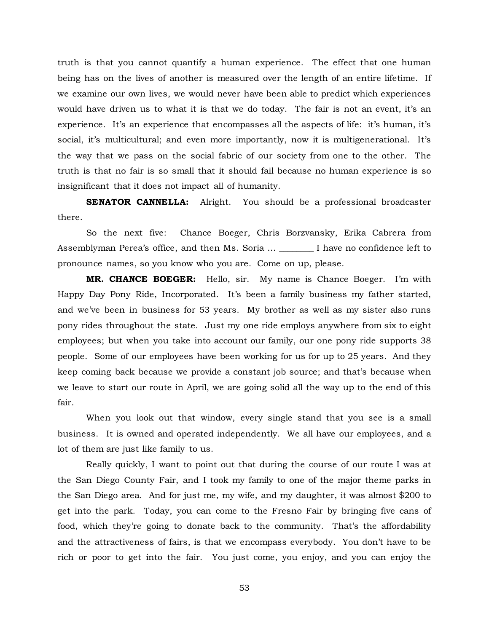truth is that you cannot quantify a human experience. The effect that one human being has on the lives of another is measured over the length of an entire lifetime. If we examine our own lives, we would never have been able to predict which experiences would have driven us to what it is that we do today. The fair is not an event, it's an experience. It's an experience that encompasses all the aspects of life: it's human, it's social, it's multicultural; and even more importantly, now it is multigenerational. It's the way that we pass on the social fabric of our society from one to the other. The truth is that no fair is so small that it should fail because no human experience is so insignificant that it does not impact all of humanity.

**SENATOR CANNELLA:** Alright. You should be a professional broadcaster there.

So the next five: Chance Boeger, Chris Borzvansky, Erika Cabrera from Assemblyman Perea's office, and then Ms. Soria … \_\_\_\_\_\_\_\_ I have no confidence left to pronounce names, so you know who you are. Come on up, please.

**MR. CHANCE BOEGER:** Hello, sir. My name is Chance Boeger. I'm with Happy Day Pony Ride, Incorporated. It's been a family business my father started, and we've been in business for 53 years. My brother as well as my sister also runs pony rides throughout the state. Just my one ride employs anywhere from six to eight employees; but when you take into account our family, our one pony ride supports 38 people. Some of our employees have been working for us for up to 25 years. And they keep coming back because we provide a constant job source; and that's because when we leave to start our route in April, we are going solid all the way up to the end of this fair.

When you look out that window, every single stand that you see is a small business. It is owned and operated independently. We all have our employees, and a lot of them are just like family to us.

Really quickly, I want to point out that during the course of our route I was at the San Diego County Fair, and I took my family to one of the major theme parks in the San Diego area. And for just me, my wife, and my daughter, it was almost \$200 to get into the park. Today, you can come to the Fresno Fair by bringing five cans of food, which they're going to donate back to the community. That's the affordability and the attractiveness of fairs, is that we encompass everybody. You don't have to be rich or poor to get into the fair. You just come, you enjoy, and you can enjoy the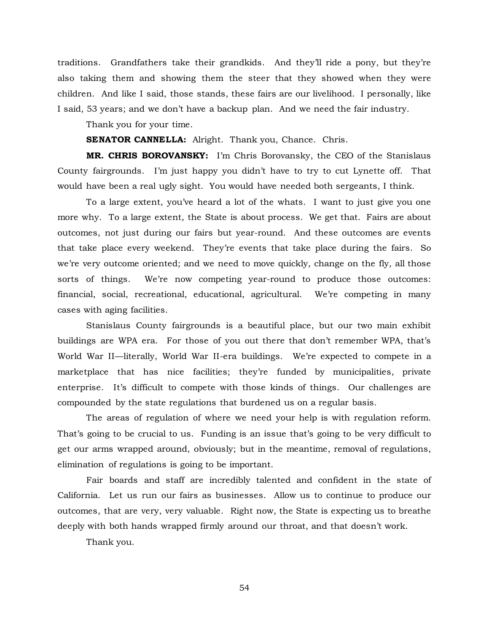traditions. Grandfathers take their grandkids. And they'll ride a pony, but they're also taking them and showing them the steer that they showed when they were children. And like I said, those stands, these fairs are our livelihood. I personally, like I said, 53 years; and we don't have a backup plan. And we need the fair industry.

Thank you for your time.

**SENATOR CANNELLA:** Alright. Thank you, Chance. Chris.

**MR. CHRIS BOROVANSKY:** I'm Chris Borovansky, the CEO of the Stanislaus County fairgrounds. I'm just happy you didn't have to try to cut Lynette off. That would have been a real ugly sight. You would have needed both sergeants, I think.

To a large extent, you've heard a lot of the whats. I want to just give you one more why. To a large extent, the State is about process. We get that. Fairs are about outcomes, not just during our fairs but year-round. And these outcomes are events that take place every weekend. They're events that take place during the fairs. So we're very outcome oriented; and we need to move quickly, change on the fly, all those sorts of things. We're now competing year-round to produce those outcomes: financial, social, recreational, educational, agricultural. We're competing in many cases with aging facilities.

Stanislaus County fairgrounds is a beautiful place, but our two main exhibit buildings are WPA era. For those of you out there that don't remember WPA, that's World War II—literally, World War II-era buildings. We're expected to compete in a marketplace that has nice facilities; they're funded by municipalities, private enterprise. It's difficult to compete with those kinds of things. Our challenges are compounded by the state regulations that burdened us on a regular basis.

The areas of regulation of where we need your help is with regulation reform. That's going to be crucial to us. Funding is an issue that's going to be very difficult to get our arms wrapped around, obviously; but in the meantime, removal of regulations, elimination of regulations is going to be important.

Fair boards and staff are incredibly talented and confident in the state of California. Let us run our fairs as businesses. Allow us to continue to produce our outcomes, that are very, very valuable. Right now, the State is expecting us to breathe deeply with both hands wrapped firmly around our throat, and that doesn't work.

Thank you.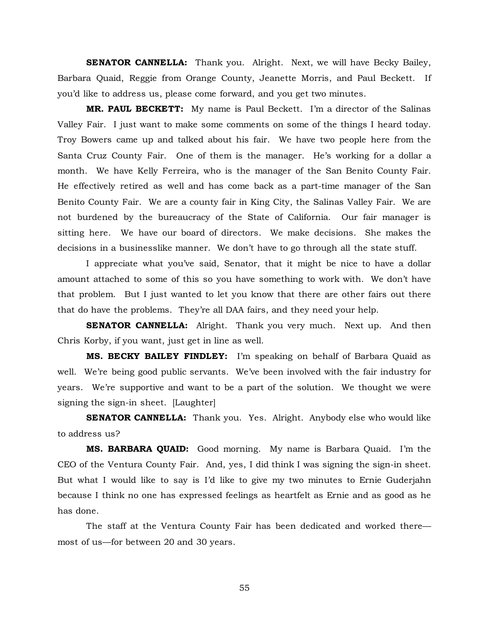**SENATOR CANNELLA:** Thank you. Alright. Next, we will have Becky Bailey, Barbara Quaid, Reggie from Orange County, Jeanette Morris, and Paul Beckett. If you'd like to address us, please come forward, and you get two minutes.

**MR. PAUL BECKETT:** My name is Paul Beckett. I'm a director of the Salinas Valley Fair. I just want to make some comments on some of the things I heard today. Troy Bowers came up and talked about his fair. We have two people here from the Santa Cruz County Fair. One of them is the manager. He's working for a dollar a month. We have Kelly Ferreira, who is the manager of the San Benito County Fair. He effectively retired as well and has come back as a part-time manager of the San Benito County Fair. We are a county fair in King City, the Salinas Valley Fair. We are not burdened by the bureaucracy of the State of California. Our fair manager is sitting here. We have our board of directors. We make decisions. She makes the decisions in a businesslike manner. We don't have to go through all the state stuff.

I appreciate what you've said, Senator, that it might be nice to have a dollar amount attached to some of this so you have something to work with. We don't have that problem. But I just wanted to let you know that there are other fairs out there that do have the problems. They're all DAA fairs, and they need your help.

**SENATOR CANNELLA:** Alright. Thank you very much. Next up. And then Chris Korby, if you want, just get in line as well.

**MS. BECKY BAILEY FINDLEY:** I'm speaking on behalf of Barbara Quaid as well. We're being good public servants. We've been involved with the fair industry for years. We're supportive and want to be a part of the solution. We thought we were signing the sign-in sheet. [Laughter]

**SENATOR CANNELLA:** Thank you. Yes. Alright. Anybody else who would like to address us?

**MS. BARBARA QUAID:** Good morning. My name is Barbara Quaid. I'm the CEO of the Ventura County Fair. And, yes, I did think I was signing the sign-in sheet. But what I would like to say is I'd like to give my two minutes to Ernie Guderjahn because I think no one has expressed feelings as heartfelt as Ernie and as good as he has done.

The staff at the Ventura County Fair has been dedicated and worked there most of us—for between 20 and 30 years.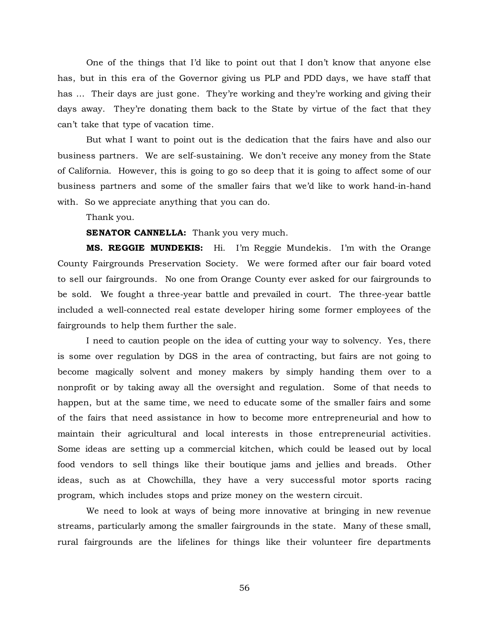One of the things that I'd like to point out that I don't know that anyone else has, but in this era of the Governor giving us PLP and PDD days, we have staff that has … Their days are just gone. They're working and they're working and giving their days away. They're donating them back to the State by virtue of the fact that they can't take that type of vacation time.

But what I want to point out is the dedication that the fairs have and also our business partners. We are self-sustaining. We don't receive any money from the State of California. However, this is going to go so deep that it is going to affect some of our business partners and some of the smaller fairs that we'd like to work hand-in-hand with. So we appreciate anything that you can do.

Thank you.

**SENATOR CANNELLA:** Thank you very much.

**MS. REGGIE MUNDEKIS:** Hi. I'm Reggie Mundekis. I'm with the Orange County Fairgrounds Preservation Society. We were formed after our fair board voted to sell our fairgrounds. No one from Orange County ever asked for our fairgrounds to be sold. We fought a three-year battle and prevailed in court. The three-year battle included a well-connected real estate developer hiring some former employees of the fairgrounds to help them further the sale.

I need to caution people on the idea of cutting your way to solvency. Yes, there is some over regulation by DGS in the area of contracting, but fairs are not going to become magically solvent and money makers by simply handing them over to a nonprofit or by taking away all the oversight and regulation. Some of that needs to happen, but at the same time, we need to educate some of the smaller fairs and some of the fairs that need assistance in how to become more entrepreneurial and how to maintain their agricultural and local interests in those entrepreneurial activities. Some ideas are setting up a commercial kitchen, which could be leased out by local food vendors to sell things like their boutique jams and jellies and breads. Other ideas, such as at Chowchilla, they have a very successful motor sports racing program, which includes stops and prize money on the western circuit.

We need to look at ways of being more innovative at bringing in new revenue streams, particularly among the smaller fairgrounds in the state. Many of these small, rural fairgrounds are the lifelines for things like their volunteer fire departments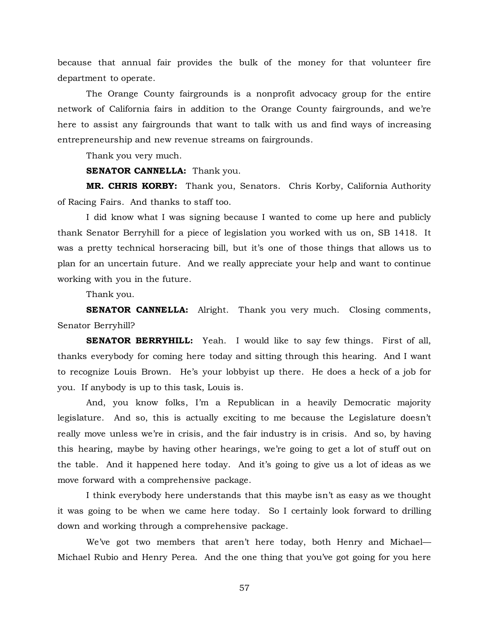because that annual fair provides the bulk of the money for that volunteer fire department to operate.

The Orange County fairgrounds is a nonprofit advocacy group for the entire network of California fairs in addition to the Orange County fairgrounds, and we're here to assist any fairgrounds that want to talk with us and find ways of increasing entrepreneurship and new revenue streams on fairgrounds.

Thank you very much.

**SENATOR CANNELLA:** Thank you.

**MR. CHRIS KORBY:** Thank you, Senators. Chris Korby, California Authority of Racing Fairs. And thanks to staff too.

I did know what I was signing because I wanted to come up here and publicly thank Senator Berryhill for a piece of legislation you worked with us on, SB 1418. It was a pretty technical horseracing bill, but it's one of those things that allows us to plan for an uncertain future. And we really appreciate your help and want to continue working with you in the future.

Thank you.

**SENATOR CANNELLA:** Alright. Thank you very much. Closing comments, Senator Berryhill?

**SENATOR BERRYHILL:** Yeah. I would like to say few things. First of all, thanks everybody for coming here today and sitting through this hearing. And I want to recognize Louis Brown. He's your lobbyist up there. He does a heck of a job for you. If anybody is up to this task, Louis is.

And, you know folks, I'm a Republican in a heavily Democratic majority legislature. And so, this is actually exciting to me because the Legislature doesn't really move unless we're in crisis, and the fair industry is in crisis. And so, by having this hearing, maybe by having other hearings, we're going to get a lot of stuff out on the table. And it happened here today. And it's going to give us a lot of ideas as we move forward with a comprehensive package.

I think everybody here understands that this maybe isn't as easy as we thought it was going to be when we came here today. So I certainly look forward to drilling down and working through a comprehensive package.

We've got two members that aren't here today, both Henry and Michael— Michael Rubio and Henry Perea. And the one thing that you've got going for you here